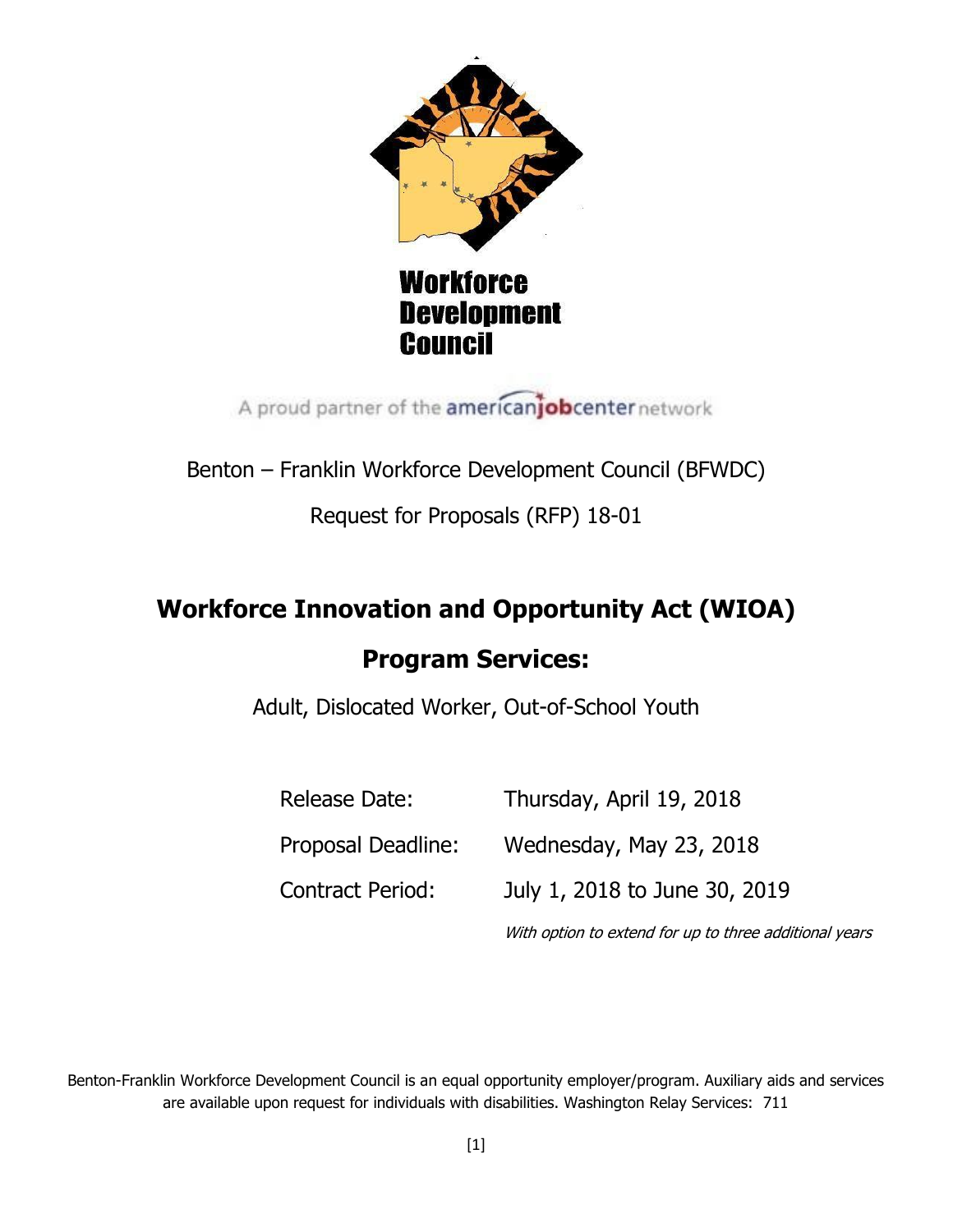

**Workforce Development** Council

A proud partner of the americanjobcenter network

Benton – Franklin Workforce Development Council (BFWDC)

Request for Proposals (RFP) 18-01

# **Workforce Innovation and Opportunity Act (WIOA) Program Services:**

Adult, Dislocated Worker, Out-of-School Youth

| Release Date:           | Thursday, April 19, 2018                               |
|-------------------------|--------------------------------------------------------|
| Proposal Deadline:      | Wednesday, May 23, 2018                                |
| <b>Contract Period:</b> | July 1, 2018 to June 30, 2019                          |
|                         | With option to extend for up to three additional years |

Benton-Franklin Workforce Development Council is an equal opportunity employer/program. Auxiliary aids and services are available upon request for individuals with disabilities. Washington Relay Services: 711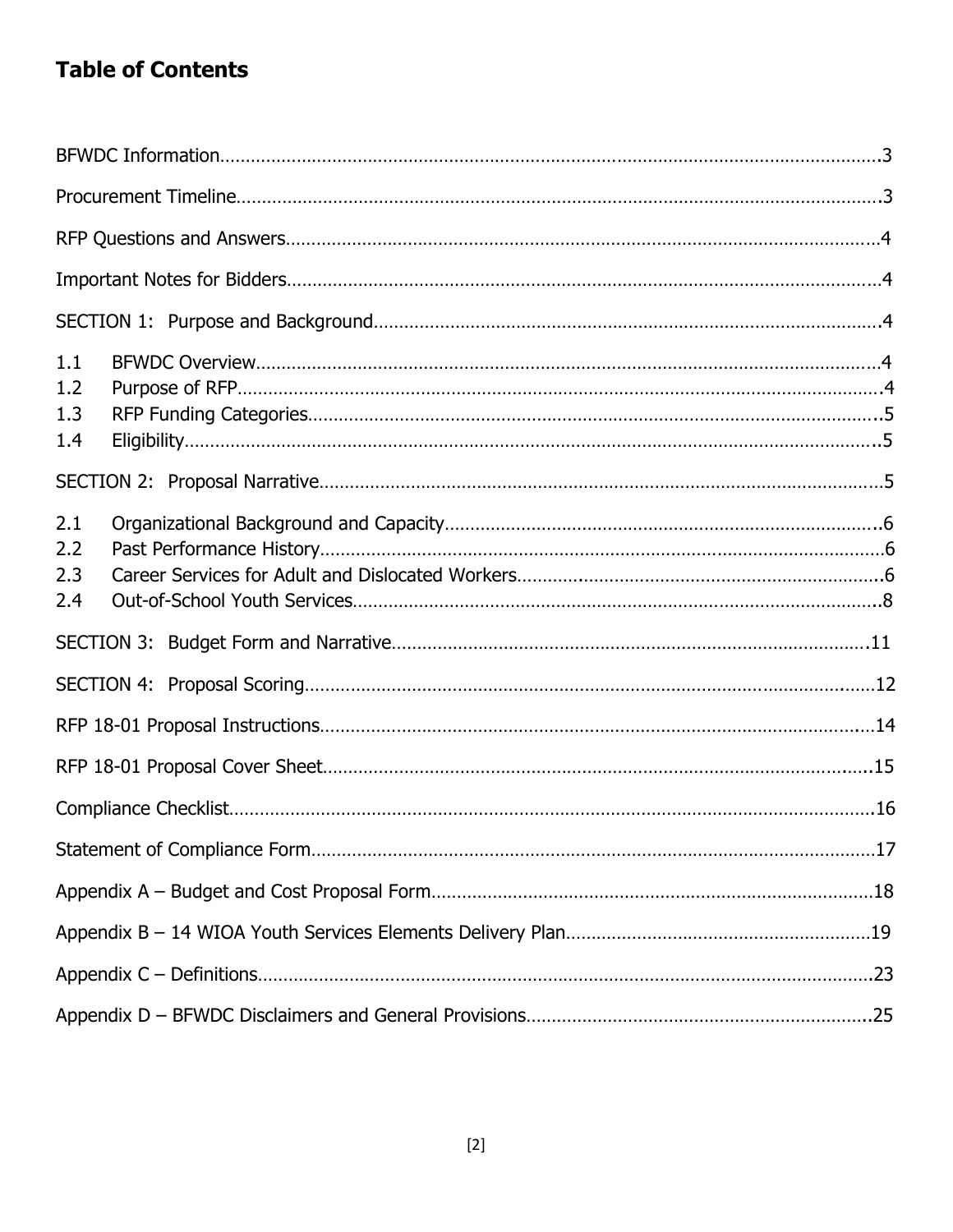## **Table of Contents**

| 1.1<br>1.2<br>1.3<br>1.4 |  |
|--------------------------|--|
|                          |  |
| 2.1<br>2.2<br>2.3<br>2.4 |  |
|                          |  |
|                          |  |
|                          |  |
|                          |  |
|                          |  |
|                          |  |
|                          |  |
|                          |  |
|                          |  |
|                          |  |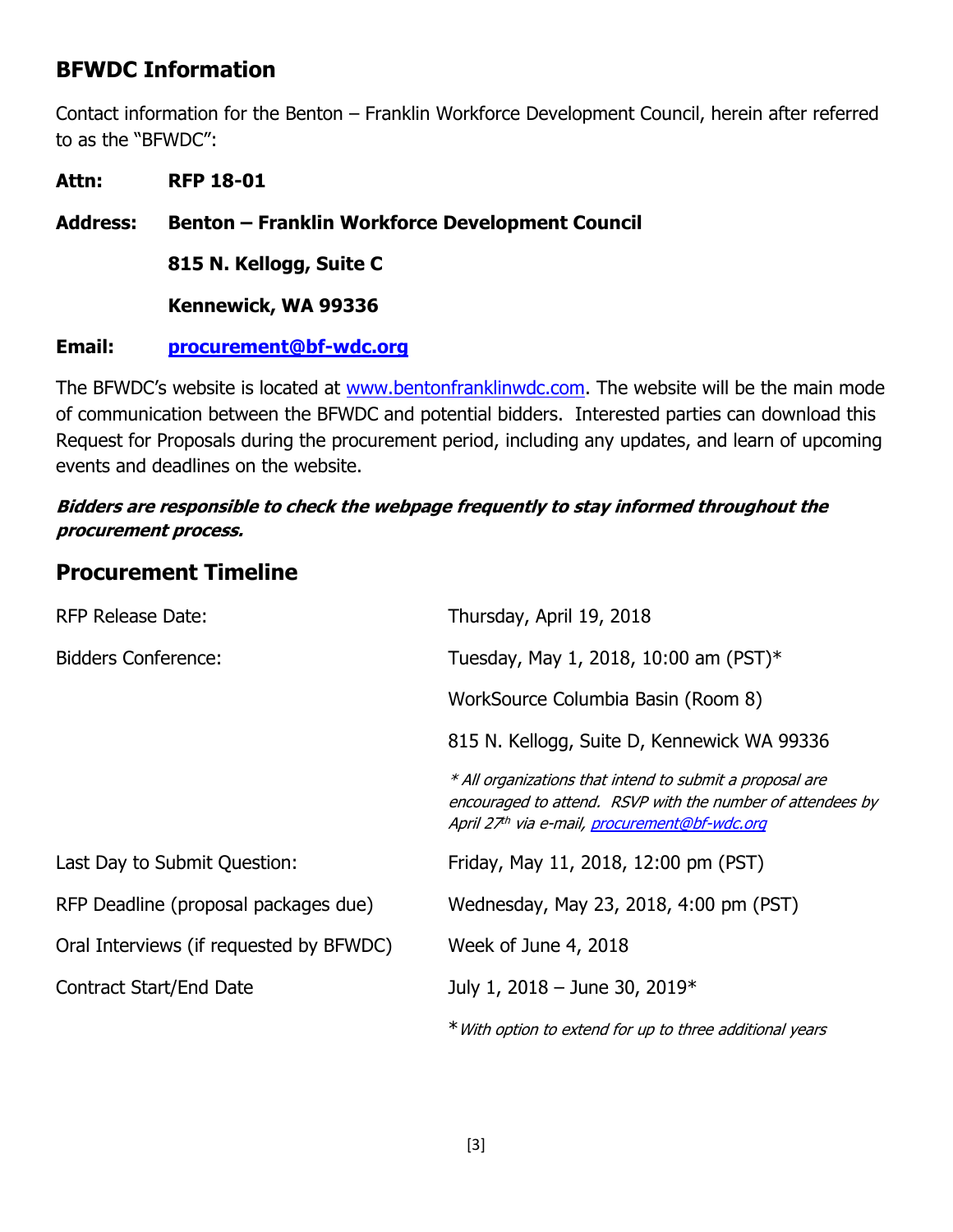### **BFWDC Information**

Contact information for the Benton – Franklin Workforce Development Council, herein after referred to as the "BFWDC":

**Attn: RFP 18-01 Address: Benton – Franklin Workforce Development Council 815 N. Kellogg, Suite C Kennewick, WA 99336**

### **Email: [procurement@bf-wdc.org](mailto:procurement@bf-wdc.org)**

The BFWDC's website is located at [www.bentonfranklinwdc.com.](http://www.bentonfranklinwdc.com/) The website will be the main mode of communication between the BFWDC and potential bidders. Interested parties can download this Request for Proposals during the procurement period, including any updates, and learn of upcoming events and deadlines on the website.

### **Bidders are responsible to check the webpage frequently to stay informed throughout the procurement process.**

### **Procurement Timeline**

| <b>RFP Release Date:</b>                | Thursday, April 19, 2018                                                                                                                                                |  |
|-----------------------------------------|-------------------------------------------------------------------------------------------------------------------------------------------------------------------------|--|
| <b>Bidders Conference:</b>              | Tuesday, May 1, 2018, 10:00 am (PST)*                                                                                                                                   |  |
|                                         | WorkSource Columbia Basin (Room 8)                                                                                                                                      |  |
|                                         | 815 N. Kellogg, Suite D, Kennewick WA 99336                                                                                                                             |  |
|                                         | * All organizations that intend to submit a proposal are<br>encouraged to attend. RSVP with the number of attendees by<br>April 27th via e-mail, procurement@bf-wdc.org |  |
| Last Day to Submit Question:            | Friday, May 11, 2018, 12:00 pm (PST)                                                                                                                                    |  |
| RFP Deadline (proposal packages due)    | Wednesday, May 23, 2018, 4:00 pm (PST)                                                                                                                                  |  |
| Oral Interviews (if requested by BFWDC) | Week of June 4, 2018                                                                                                                                                    |  |
| Contract Start/End Date                 | July 1, 2018 - June 30, 2019 $*$                                                                                                                                        |  |
|                                         | * With option to extend for up to three additional years                                                                                                                |  |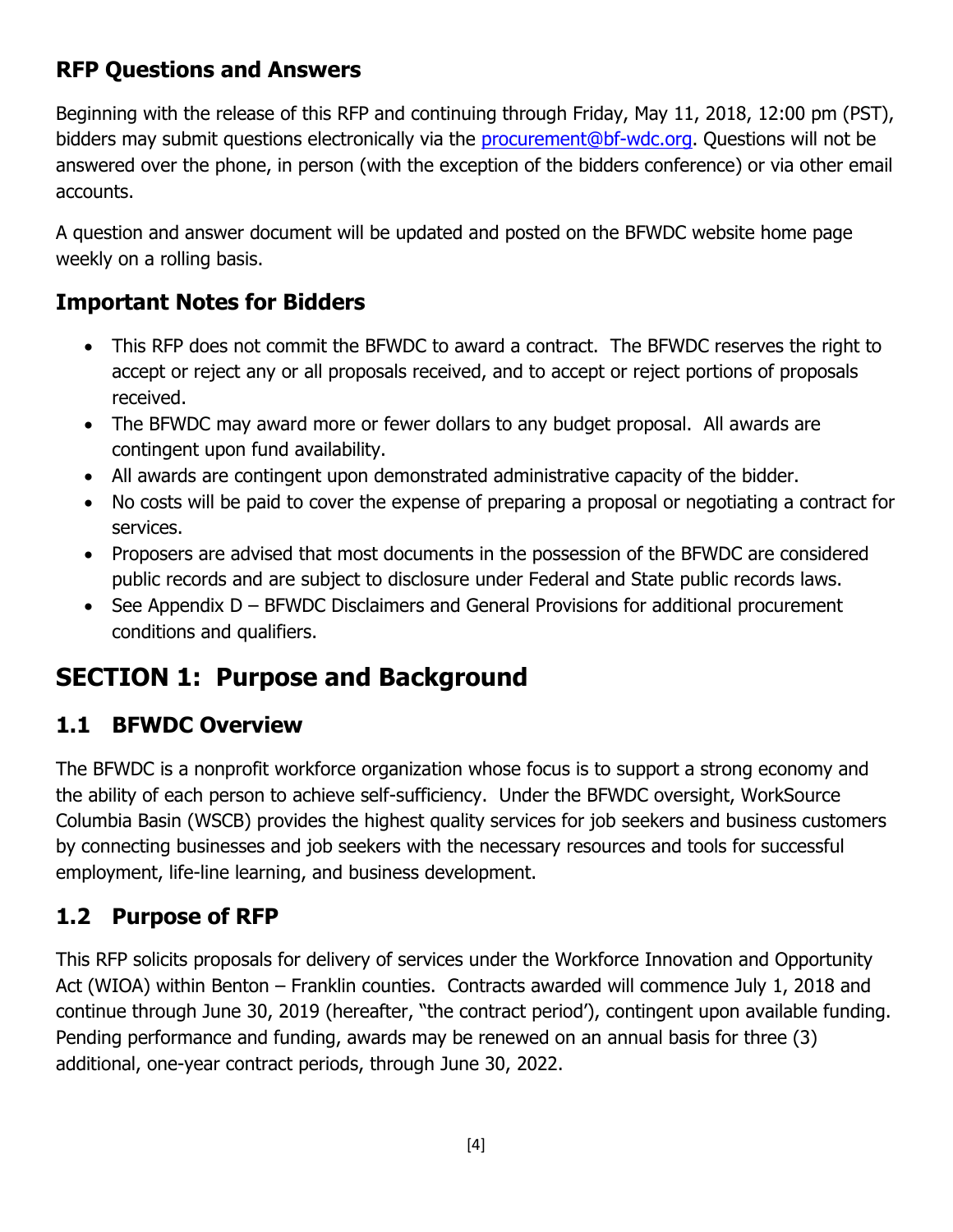## **RFP Questions and Answers**

Beginning with the release of this RFP and continuing through Friday, May 11, 2018, 12:00 pm (PST), bidders may submit questions electronically via the [procurement@bf-wdc.org.](mailto:procurement@bf-wdc.org) Questions will not be answered over the phone, in person (with the exception of the bidders conference) or via other email accounts.

A question and answer document will be updated and posted on the BFWDC website home page weekly on a rolling basis.

## **Important Notes for Bidders**

- This RFP does not commit the BFWDC to award a contract. The BFWDC reserves the right to accept or reject any or all proposals received, and to accept or reject portions of proposals received.
- The BFWDC may award more or fewer dollars to any budget proposal. All awards are contingent upon fund availability.
- All awards are contingent upon demonstrated administrative capacity of the bidder.
- No costs will be paid to cover the expense of preparing a proposal or negotiating a contract for services.
- Proposers are advised that most documents in the possession of the BFWDC are considered public records and are subject to disclosure under Federal and State public records laws.
- See Appendix D BFWDC Disclaimers and General Provisions for additional procurement conditions and qualifiers.

## **SECTION 1: Purpose and Background**

## **1.1 BFWDC Overview**

The BFWDC is a nonprofit workforce organization whose focus is to support a strong economy and the ability of each person to achieve self-sufficiency. Under the BFWDC oversight, WorkSource Columbia Basin (WSCB) provides the highest quality services for job seekers and business customers by connecting businesses and job seekers with the necessary resources and tools for successful employment, life-line learning, and business development.

## **1.2 Purpose of RFP**

This RFP solicits proposals for delivery of services under the Workforce Innovation and Opportunity Act (WIOA) within Benton – Franklin counties. Contracts awarded will commence July 1, 2018 and continue through June 30, 2019 (hereafter, "the contract period'), contingent upon available funding. Pending performance and funding, awards may be renewed on an annual basis for three (3) additional, one-year contract periods, through June 30, 2022.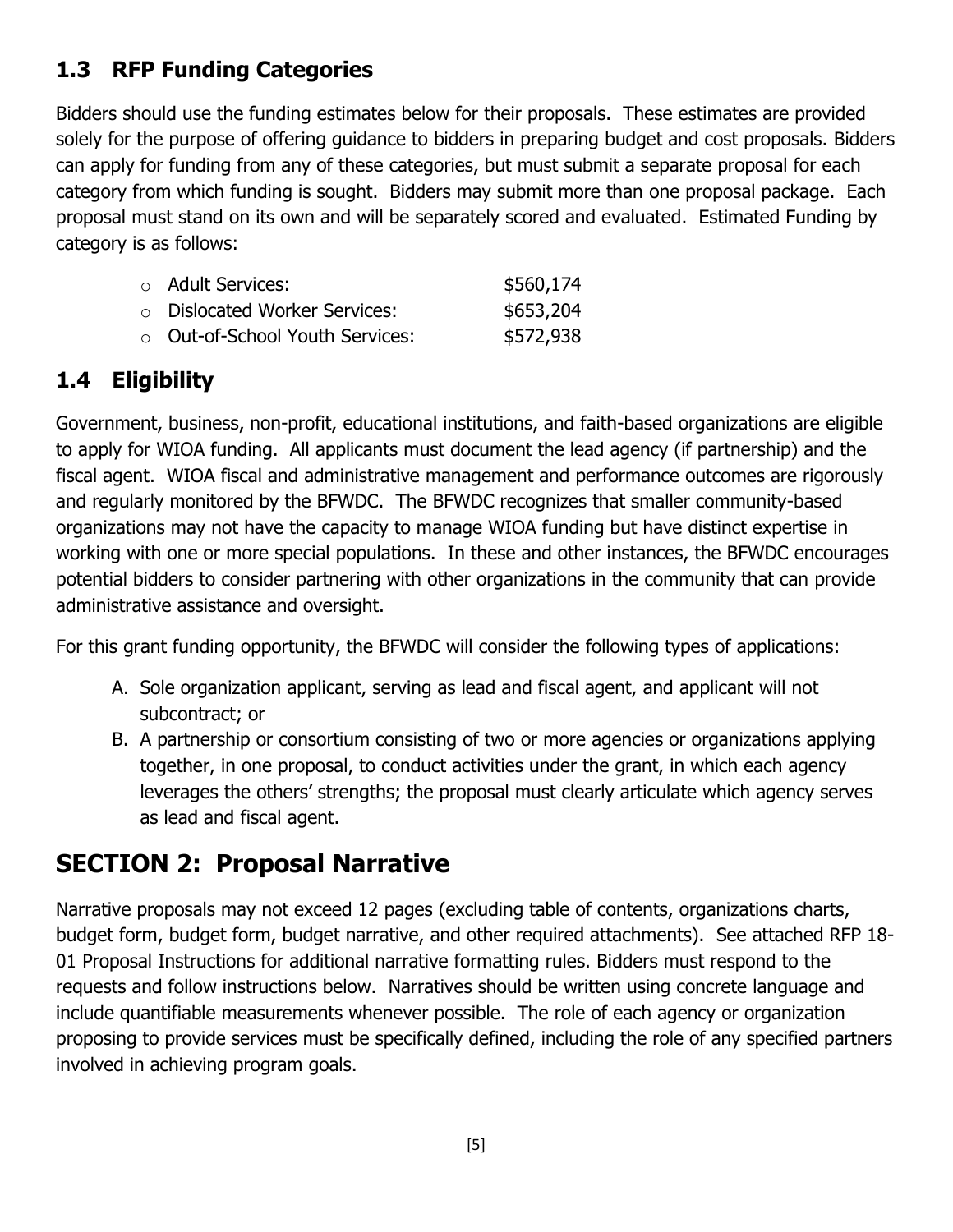## **1.3 RFP Funding Categories**

Bidders should use the funding estimates below for their proposals. These estimates are provided solely for the purpose of offering guidance to bidders in preparing budget and cost proposals. Bidders can apply for funding from any of these categories, but must submit a separate proposal for each category from which funding is sought. Bidders may submit more than one proposal package. Each proposal must stand on its own and will be separately scored and evaluated. Estimated Funding by category is as follows:

| $\circ$ Adult Services:             | \$560,174 |
|-------------------------------------|-----------|
| $\circ$ Dislocated Worker Services: | \$653,204 |
| ○ Out-of-School Youth Services:     | \$572,938 |

## **1.4 Eligibility**

Government, business, non-profit, educational institutions, and faith-based organizations are eligible to apply for WIOA funding. All applicants must document the lead agency (if partnership) and the fiscal agent. WIOA fiscal and administrative management and performance outcomes are rigorously and regularly monitored by the BFWDC. The BFWDC recognizes that smaller community-based organizations may not have the capacity to manage WIOA funding but have distinct expertise in working with one or more special populations. In these and other instances, the BFWDC encourages potential bidders to consider partnering with other organizations in the community that can provide administrative assistance and oversight.

For this grant funding opportunity, the BFWDC will consider the following types of applications:

- A. Sole organization applicant, serving as lead and fiscal agent, and applicant will not subcontract; or
- B. A partnership or consortium consisting of two or more agencies or organizations applying together, in one proposal, to conduct activities under the grant, in which each agency leverages the others' strengths; the proposal must clearly articulate which agency serves as lead and fiscal agent.

## **SECTION 2: Proposal Narrative**

Narrative proposals may not exceed 12 pages (excluding table of contents, organizations charts, budget form, budget form, budget narrative, and other required attachments). See attached RFP 18- 01 Proposal Instructions for additional narrative formatting rules. Bidders must respond to the requests and follow instructions below. Narratives should be written using concrete language and include quantifiable measurements whenever possible. The role of each agency or organization proposing to provide services must be specifically defined, including the role of any specified partners involved in achieving program goals.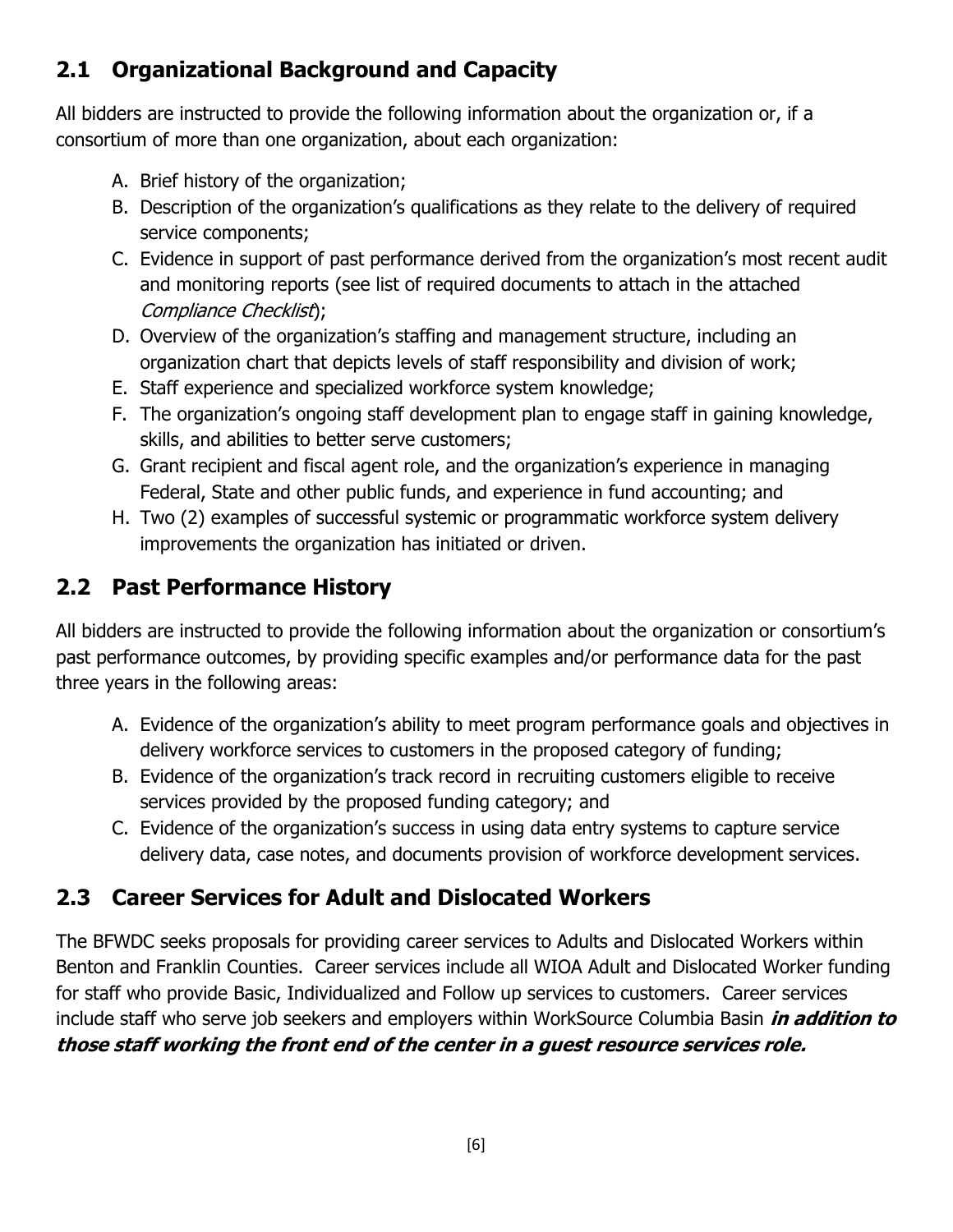## **2.1 Organizational Background and Capacity**

All bidders are instructed to provide the following information about the organization or, if a consortium of more than one organization, about each organization:

- A. Brief history of the organization;
- B. Description of the organization's qualifications as they relate to the delivery of required service components;
- C. Evidence in support of past performance derived from the organization's most recent audit and monitoring reports (see list of required documents to attach in the attached Compliance Checklist);
- D. Overview of the organization's staffing and management structure, including an organization chart that depicts levels of staff responsibility and division of work;
- E. Staff experience and specialized workforce system knowledge;
- F. The organization's ongoing staff development plan to engage staff in gaining knowledge, skills, and abilities to better serve customers;
- G. Grant recipient and fiscal agent role, and the organization's experience in managing Federal, State and other public funds, and experience in fund accounting; and
- H. Two (2) examples of successful systemic or programmatic workforce system delivery improvements the organization has initiated or driven.

## **2.2 Past Performance History**

All bidders are instructed to provide the following information about the organization or consortium's past performance outcomes, by providing specific examples and/or performance data for the past three years in the following areas:

- A. Evidence of the organization's ability to meet program performance goals and objectives in delivery workforce services to customers in the proposed category of funding;
- B. Evidence of the organization's track record in recruiting customers eligible to receive services provided by the proposed funding category; and
- C. Evidence of the organization's success in using data entry systems to capture service delivery data, case notes, and documents provision of workforce development services.

## **2.3 Career Services for Adult and Dislocated Workers**

The BFWDC seeks proposals for providing career services to Adults and Dislocated Workers within Benton and Franklin Counties. Career services include all WIOA Adult and Dislocated Worker funding for staff who provide Basic, Individualized and Follow up services to customers. Career services include staff who serve job seekers and employers within WorkSource Columbia Basin **in addition to those staff working the front end of the center in a guest resource services role.**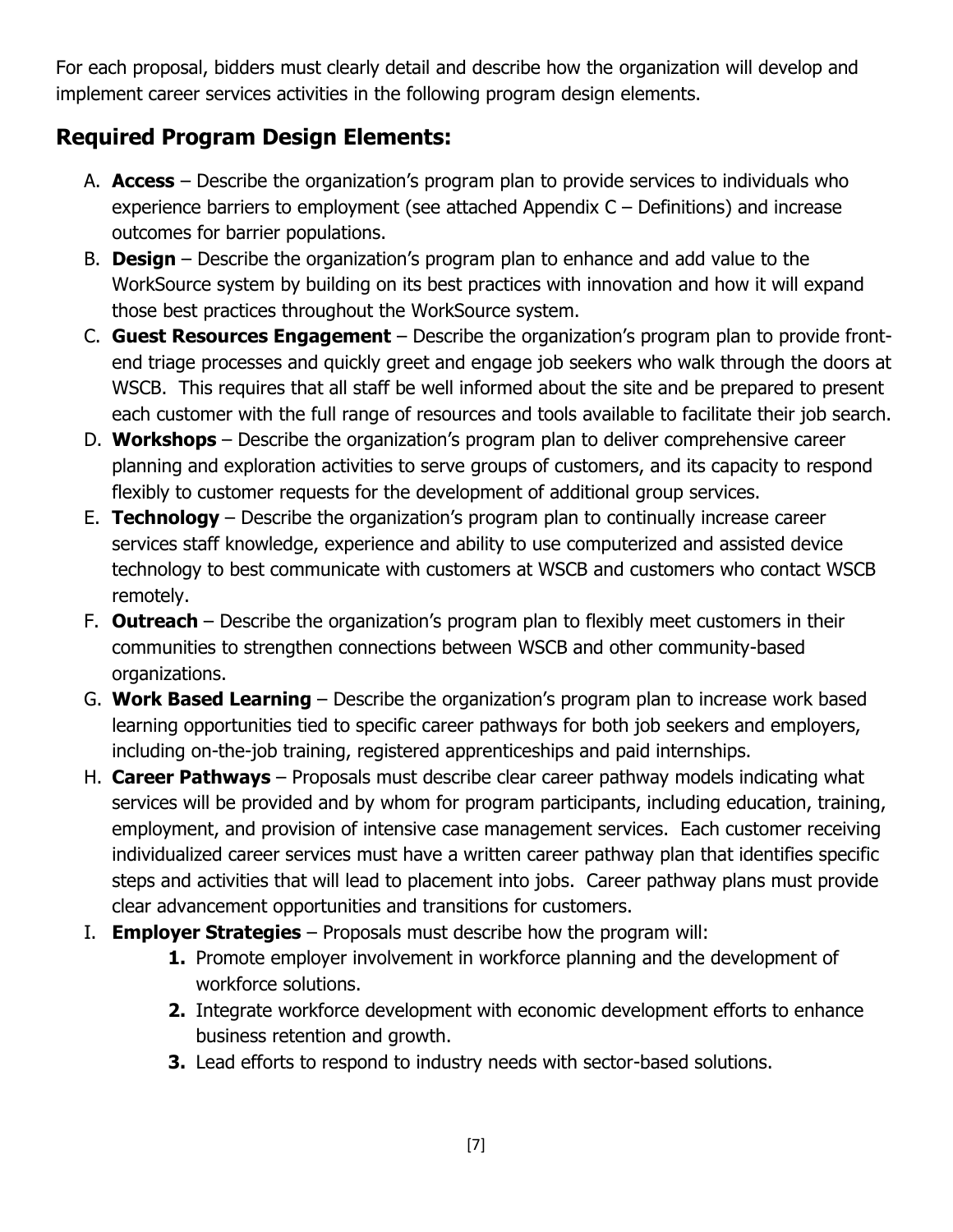For each proposal, bidders must clearly detail and describe how the organization will develop and implement career services activities in the following program design elements.

## **Required Program Design Elements:**

- A. **Access** Describe the organization's program plan to provide services to individuals who experience barriers to employment (see attached Appendix C – Definitions) and increase outcomes for barrier populations.
- B. **Design**  Describe the organization's program plan to enhance and add value to the WorkSource system by building on its best practices with innovation and how it will expand those best practices throughout the WorkSource system.
- C. **Guest Resources Engagement**  Describe the organization's program plan to provide frontend triage processes and quickly greet and engage job seekers who walk through the doors at WSCB. This requires that all staff be well informed about the site and be prepared to present each customer with the full range of resources and tools available to facilitate their job search.
- D. **Workshops**  Describe the organization's program plan to deliver comprehensive career planning and exploration activities to serve groups of customers, and its capacity to respond flexibly to customer requests for the development of additional group services.
- E. **Technology**  Describe the organization's program plan to continually increase career services staff knowledge, experience and ability to use computerized and assisted device technology to best communicate with customers at WSCB and customers who contact WSCB remotely.
- F. **Outreach**  Describe the organization's program plan to flexibly meet customers in their communities to strengthen connections between WSCB and other community-based organizations.
- G. **Work Based Learning**  Describe the organization's program plan to increase work based learning opportunities tied to specific career pathways for both job seekers and employers, including on-the-job training, registered apprenticeships and paid internships.
- H. **Career Pathways**  Proposals must describe clear career pathway models indicating what services will be provided and by whom for program participants, including education, training, employment, and provision of intensive case management services. Each customer receiving individualized career services must have a written career pathway plan that identifies specific steps and activities that will lead to placement into jobs. Career pathway plans must provide clear advancement opportunities and transitions for customers.
- I. **Employer Strategies**  Proposals must describe how the program will:
	- **1.** Promote employer involvement in workforce planning and the development of workforce solutions.
	- **2.** Integrate workforce development with economic development efforts to enhance business retention and growth.
	- **3.** Lead efforts to respond to industry needs with sector-based solutions.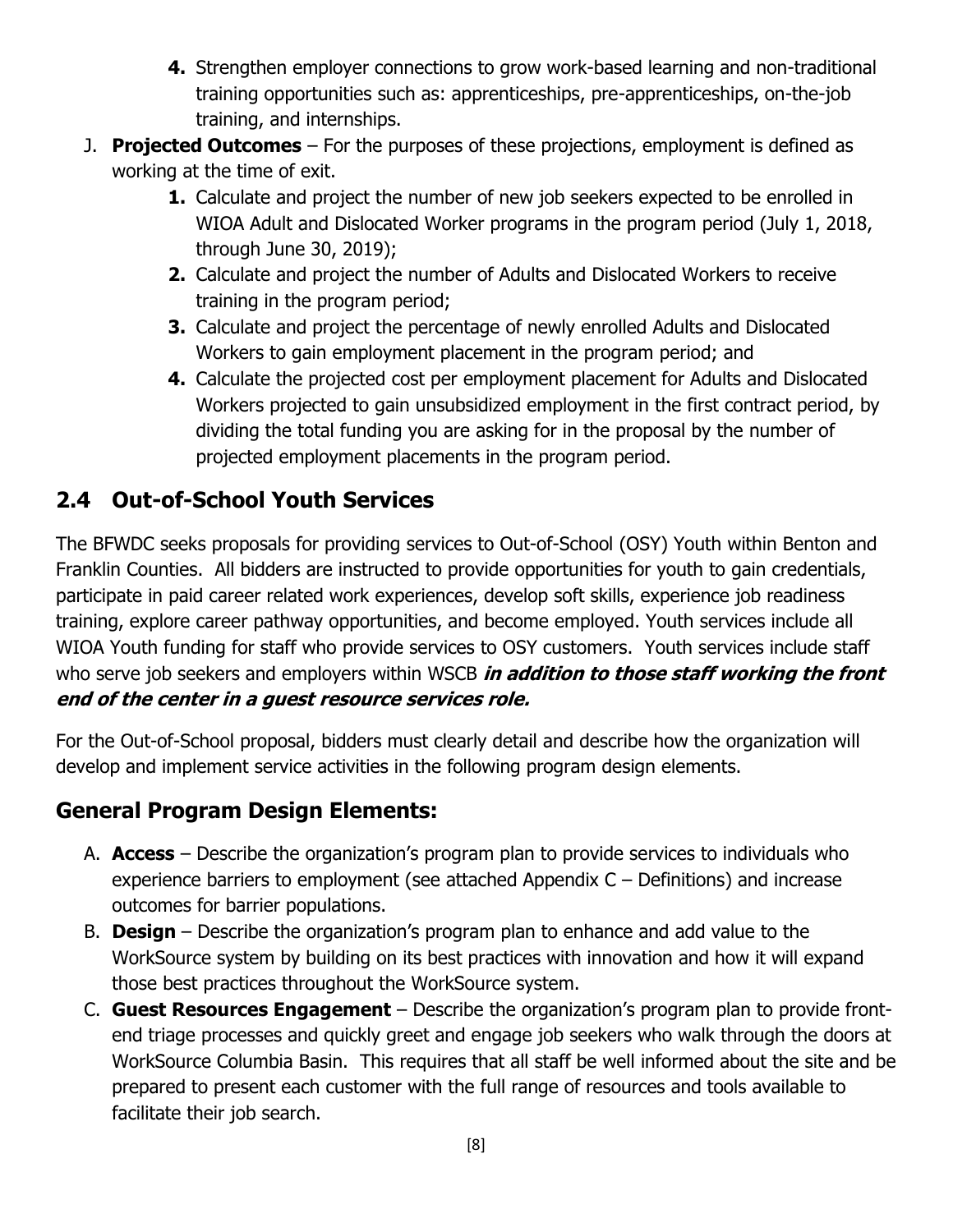- **4.** Strengthen employer connections to grow work-based learning and non-traditional training opportunities such as: apprenticeships, pre-apprenticeships, on-the-job training, and internships.
- J. **Projected Outcomes** For the purposes of these projections, employment is defined as working at the time of exit.
	- **1.** Calculate and project the number of new job seekers expected to be enrolled in WIOA Adult and Dislocated Worker programs in the program period (July 1, 2018, through June 30, 2019);
	- **2.** Calculate and project the number of Adults and Dislocated Workers to receive training in the program period;
	- **3.** Calculate and project the percentage of newly enrolled Adults and Dislocated Workers to gain employment placement in the program period; and
	- **4.** Calculate the projected cost per employment placement for Adults and Dislocated Workers projected to gain unsubsidized employment in the first contract period, by dividing the total funding you are asking for in the proposal by the number of projected employment placements in the program period.

## **2.4 Out-of-School Youth Services**

The BFWDC seeks proposals for providing services to Out-of-School (OSY) Youth within Benton and Franklin Counties. All bidders are instructed to provide opportunities for youth to gain credentials, participate in paid career related work experiences, develop soft skills, experience job readiness training, explore career pathway opportunities, and become employed. Youth services include all WIOA Youth funding for staff who provide services to OSY customers. Youth services include staff who serve job seekers and employers within WSCB **in addition to those staff working the front end of the center in a guest resource services role.**

For the Out-of-School proposal, bidders must clearly detail and describe how the organization will develop and implement service activities in the following program design elements.

## **General Program Design Elements:**

- A. **Access** Describe the organization's program plan to provide services to individuals who experience barriers to employment (see attached Appendix C – Definitions) and increase outcomes for barrier populations.
- B. **Design**  Describe the organization's program plan to enhance and add value to the WorkSource system by building on its best practices with innovation and how it will expand those best practices throughout the WorkSource system.
- C. **Guest Resources Engagement**  Describe the organization's program plan to provide frontend triage processes and quickly greet and engage job seekers who walk through the doors at WorkSource Columbia Basin. This requires that all staff be well informed about the site and be prepared to present each customer with the full range of resources and tools available to facilitate their job search.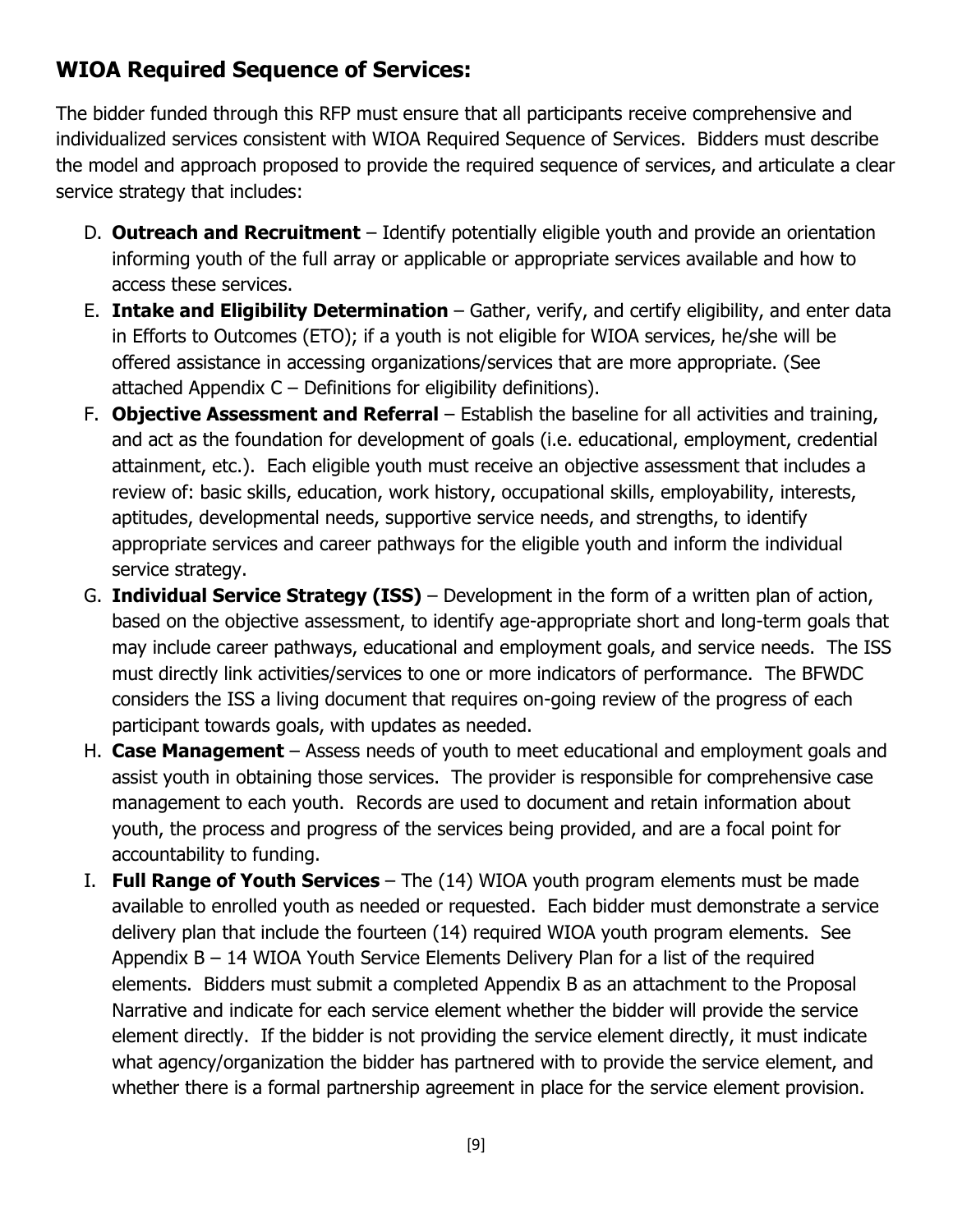## **WIOA Required Sequence of Services:**

The bidder funded through this RFP must ensure that all participants receive comprehensive and individualized services consistent with WIOA Required Sequence of Services. Bidders must describe the model and approach proposed to provide the required sequence of services, and articulate a clear service strategy that includes:

- D. **Outreach and Recruitment** Identify potentially eligible youth and provide an orientation informing youth of the full array or applicable or appropriate services available and how to access these services.
- E. **Intake and Eligibility Determination**  Gather, verify, and certify eligibility, and enter data in Efforts to Outcomes (ETO); if a youth is not eligible for WIOA services, he/she will be offered assistance in accessing organizations/services that are more appropriate. (See attached Appendix C – Definitions for eligibility definitions).
- F. **Objective Assessment and Referral** Establish the baseline for all activities and training, and act as the foundation for development of goals (i.e. educational, employment, credential attainment, etc.). Each eligible youth must receive an objective assessment that includes a review of: basic skills, education, work history, occupational skills, employability, interests, aptitudes, developmental needs, supportive service needs, and strengths, to identify appropriate services and career pathways for the eligible youth and inform the individual service strategy.
- G. **Individual Service Strategy (ISS)**  Development in the form of a written plan of action, based on the objective assessment, to identify age-appropriate short and long-term goals that may include career pathways, educational and employment goals, and service needs. The ISS must directly link activities/services to one or more indicators of performance. The BFWDC considers the ISS a living document that requires on-going review of the progress of each participant towards goals, with updates as needed.
- H. **Case Management**  Assess needs of youth to meet educational and employment goals and assist youth in obtaining those services. The provider is responsible for comprehensive case management to each youth. Records are used to document and retain information about youth, the process and progress of the services being provided, and are a focal point for accountability to funding.
- I. **Full Range of Youth Services**  The (14) WIOA youth program elements must be made available to enrolled youth as needed or requested. Each bidder must demonstrate a service delivery plan that include the fourteen (14) required WIOA youth program elements. See Appendix B – 14 WIOA Youth Service Elements Delivery Plan for a list of the required elements. Bidders must submit a completed Appendix B as an attachment to the Proposal Narrative and indicate for each service element whether the bidder will provide the service element directly. If the bidder is not providing the service element directly, it must indicate what agency/organization the bidder has partnered with to provide the service element, and whether there is a formal partnership agreement in place for the service element provision.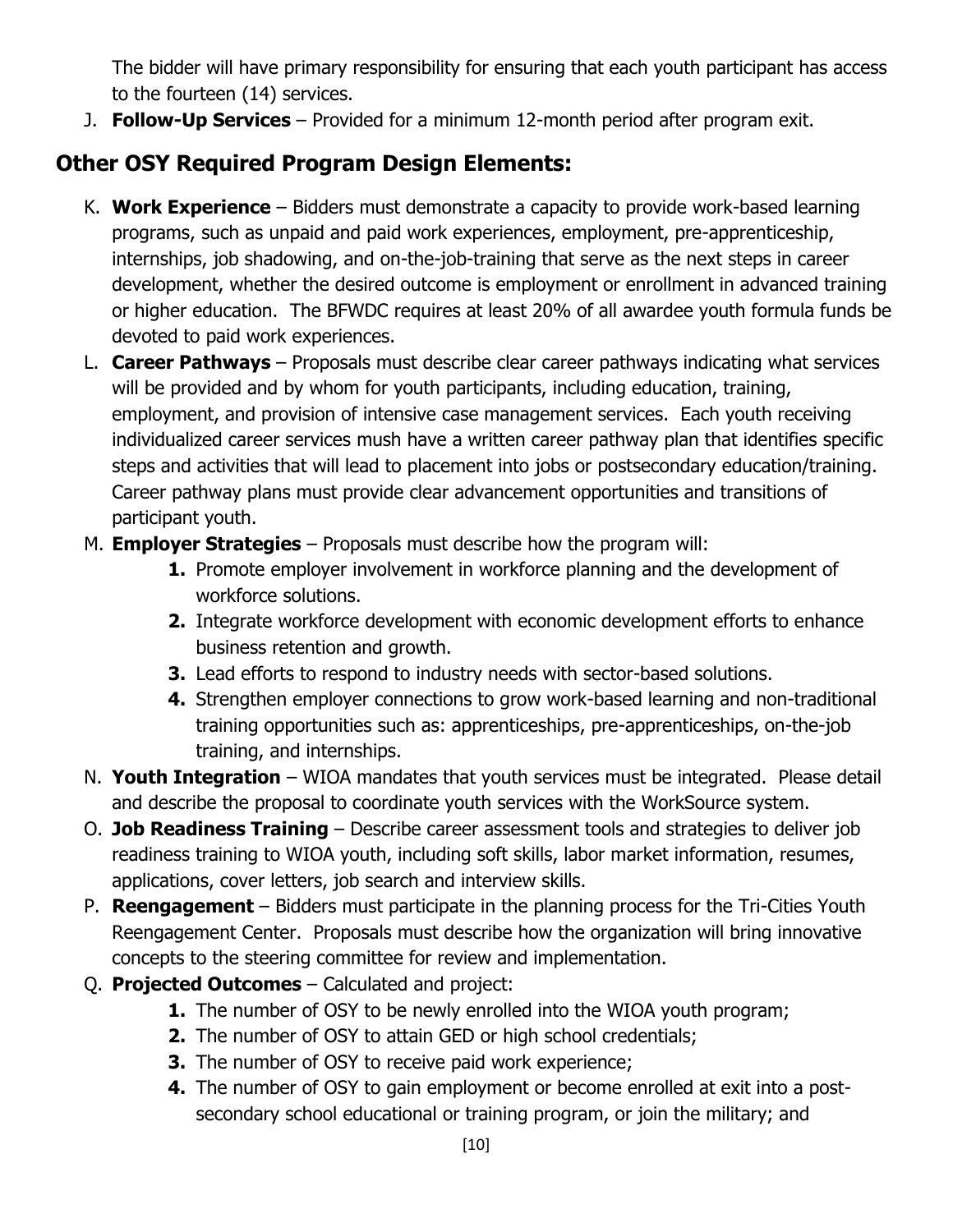The bidder will have primary responsibility for ensuring that each youth participant has access to the fourteen (14) services.

J. **Follow-Up Services** – Provided for a minimum 12-month period after program exit.

## **Other OSY Required Program Design Elements:**

- K. **Work Experience** Bidders must demonstrate a capacity to provide work-based learning programs, such as unpaid and paid work experiences, employment, pre-apprenticeship, internships, job shadowing, and on-the-job-training that serve as the next steps in career development, whether the desired outcome is employment or enrollment in advanced training or higher education. The BFWDC requires at least 20% of all awardee youth formula funds be devoted to paid work experiences.
- L. **Career Pathways**  Proposals must describe clear career pathways indicating what services will be provided and by whom for youth participants, including education, training, employment, and provision of intensive case management services. Each youth receiving individualized career services mush have a written career pathway plan that identifies specific steps and activities that will lead to placement into jobs or postsecondary education/training. Career pathway plans must provide clear advancement opportunities and transitions of participant youth.
- M. **Employer Strategies**  Proposals must describe how the program will:
	- **1.** Promote employer involvement in workforce planning and the development of workforce solutions.
	- **2.** Integrate workforce development with economic development efforts to enhance business retention and growth.
	- **3.** Lead efforts to respond to industry needs with sector-based solutions.
	- **4.** Strengthen employer connections to grow work-based learning and non-traditional training opportunities such as: apprenticeships, pre-apprenticeships, on-the-job training, and internships.
- N. **Youth Integration** WIOA mandates that youth services must be integrated. Please detail and describe the proposal to coordinate youth services with the WorkSource system.
- O. **Job Readiness Training**  Describe career assessment tools and strategies to deliver job readiness training to WIOA youth, including soft skills, labor market information, resumes, applications, cover letters, job search and interview skills.
- P. **Reengagement**  Bidders must participate in the planning process for the Tri-Cities Youth Reengagement Center. Proposals must describe how the organization will bring innovative concepts to the steering committee for review and implementation.
- Q. **Projected Outcomes**  Calculated and project:
	- **1.** The number of OSY to be newly enrolled into the WIOA youth program;
	- **2.** The number of OSY to attain GED or high school credentials;
	- **3.** The number of OSY to receive paid work experience;
	- **4.** The number of OSY to gain employment or become enrolled at exit into a postsecondary school educational or training program, or join the military; and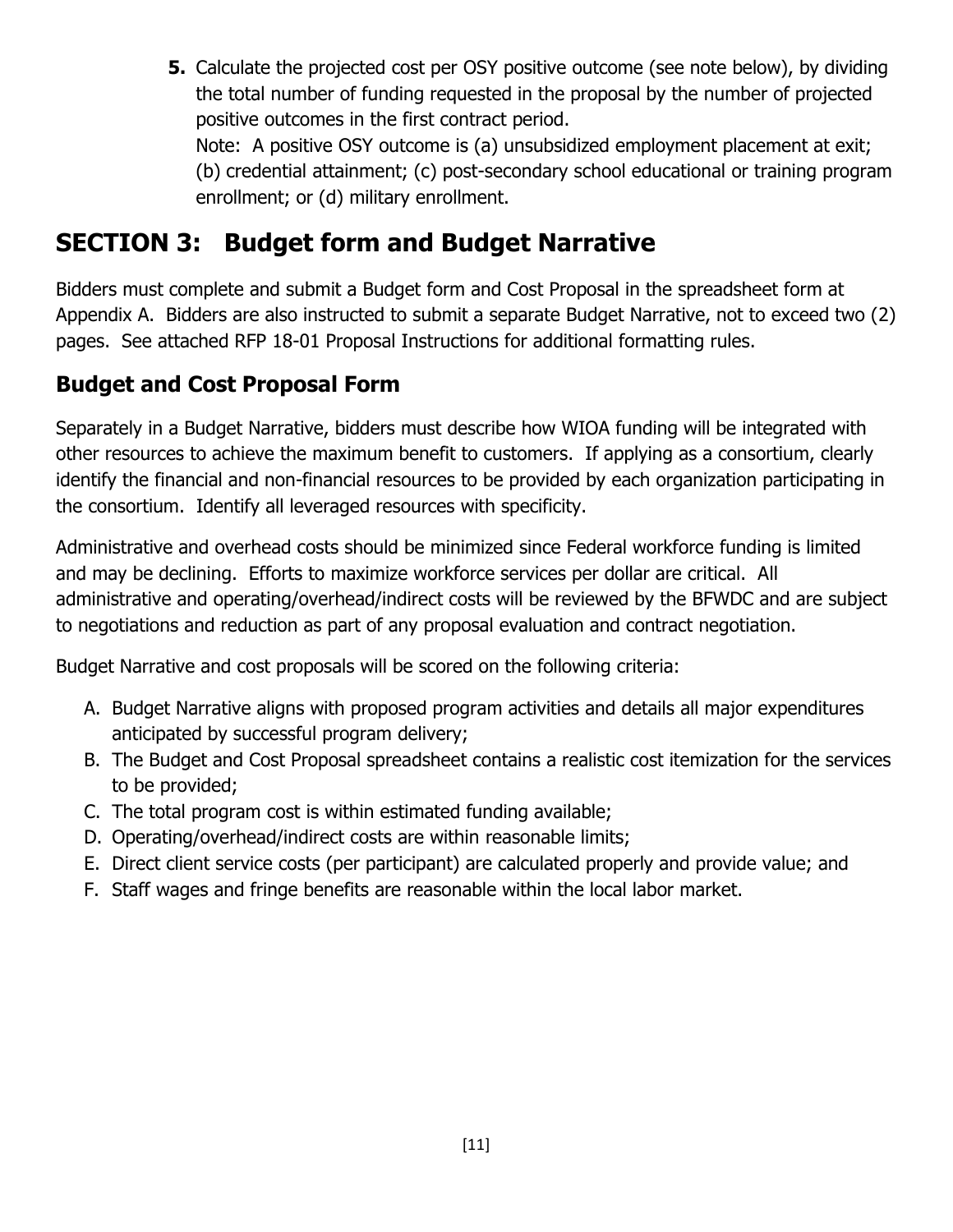**5.** Calculate the projected cost per OSY positive outcome (see note below), by dividing the total number of funding requested in the proposal by the number of projected positive outcomes in the first contract period.

Note: A positive OSY outcome is (a) unsubsidized employment placement at exit; (b) credential attainment; (c) post-secondary school educational or training program enrollment; or (d) military enrollment.

## **SECTION 3: Budget form and Budget Narrative**

Bidders must complete and submit a Budget form and Cost Proposal in the spreadsheet form at Appendix A. Bidders are also instructed to submit a separate Budget Narrative, not to exceed two (2) pages. See attached RFP 18-01 Proposal Instructions for additional formatting rules.

## **Budget and Cost Proposal Form**

Separately in a Budget Narrative, bidders must describe how WIOA funding will be integrated with other resources to achieve the maximum benefit to customers. If applying as a consortium, clearly identify the financial and non-financial resources to be provided by each organization participating in the consortium. Identify all leveraged resources with specificity.

Administrative and overhead costs should be minimized since Federal workforce funding is limited and may be declining. Efforts to maximize workforce services per dollar are critical. All administrative and operating/overhead/indirect costs will be reviewed by the BFWDC and are subject to negotiations and reduction as part of any proposal evaluation and contract negotiation.

Budget Narrative and cost proposals will be scored on the following criteria:

- A. Budget Narrative aligns with proposed program activities and details all major expenditures anticipated by successful program delivery;
- B. The Budget and Cost Proposal spreadsheet contains a realistic cost itemization for the services to be provided;
- C. The total program cost is within estimated funding available;
- D. Operating/overhead/indirect costs are within reasonable limits;
- E. Direct client service costs (per participant) are calculated properly and provide value; and
- F. Staff wages and fringe benefits are reasonable within the local labor market.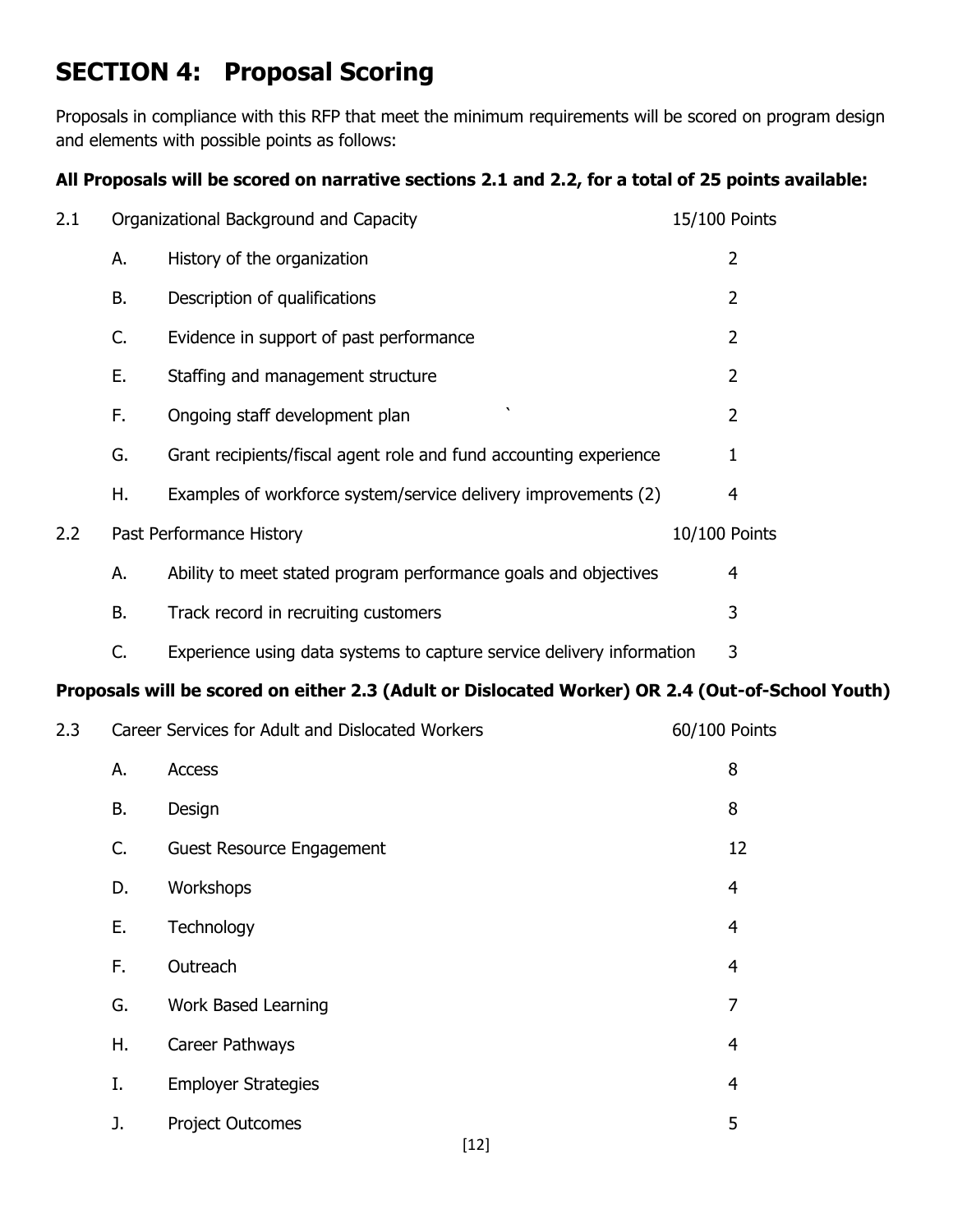## **SECTION 4: Proposal Scoring**

Proposals in compliance with this RFP that meet the minimum requirements will be scored on program design and elements with possible points as follows:

### **All Proposals will be scored on narrative sections 2.1 and 2.2, for a total of 25 points available:**

| 2.1 |    | Organizational Background and Capacity                                                           | 15/100 Points  |
|-----|----|--------------------------------------------------------------------------------------------------|----------------|
|     | А. | History of the organization                                                                      | $\overline{2}$ |
|     | В. | Description of qualifications                                                                    | $\overline{2}$ |
|     | C. | Evidence in support of past performance                                                          | $\overline{2}$ |
|     | Ε. | Staffing and management structure                                                                | $\overline{2}$ |
|     | F. | Ongoing staff development plan                                                                   | $\overline{2}$ |
|     | G. | Grant recipients/fiscal agent role and fund accounting experience                                | 1              |
|     | Η. | Examples of workforce system/service delivery improvements (2)                                   | 4              |
| 2.2 |    | Past Performance History                                                                         | 10/100 Points  |
|     | А. | Ability to meet stated program performance goals and objectives                                  | 4              |
|     | В. | Track record in recruiting customers                                                             | 3              |
|     | C. | Experience using data systems to capture service delivery information                            | 3              |
|     |    | Proposals will be scored on either 2.3 (Adult or Dislocated Worker) OR 2.4 (Out-of-School Youth) |                |
| 2.3 |    | Career Services for Adult and Dislocated Workers                                                 | 60/100 Points  |
|     | А. | Access                                                                                           | 8              |
|     |    |                                                                                                  |                |

| В. | Design                     |        | 8              |
|----|----------------------------|--------|----------------|
| C. | Guest Resource Engagement  |        | 12             |
| D. | Workshops                  |        | 4              |
| Ε. | Technology                 |        | 4              |
| F. | Outreach                   |        | 4              |
| G. | Work Based Learning        |        | 7              |
| Η. | Career Pathways            |        | 4              |
| Ι. | <b>Employer Strategies</b> |        | $\overline{4}$ |
| J. | <b>Project Outcomes</b>    |        | 5              |
|    |                            | $[12]$ |                |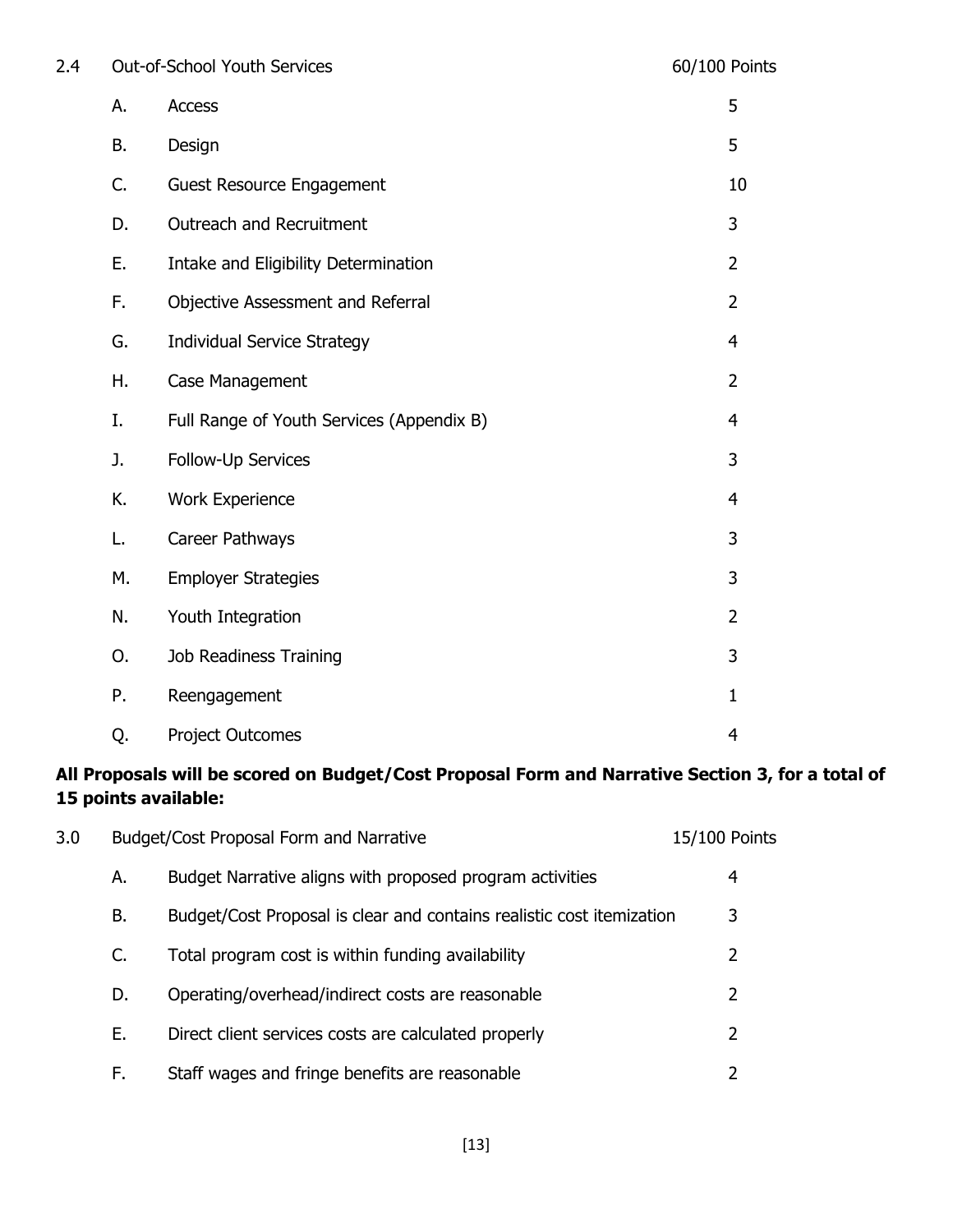| 2.4 |           | Out-of-School Youth Services              | 60/100 Points  |
|-----|-----------|-------------------------------------------|----------------|
|     | А.        | <b>Access</b>                             | 5              |
|     | <b>B.</b> | Design                                    | 5              |
|     | C.        | <b>Guest Resource Engagement</b>          | 10             |
|     | D.        | Outreach and Recruitment                  | 3              |
|     | Ε.        | Intake and Eligibility Determination      | $\overline{2}$ |
|     | F.        | Objective Assessment and Referral         | $\overline{2}$ |
|     | G.        | <b>Individual Service Strategy</b>        | $\overline{4}$ |
|     | Η.        | Case Management                           | $\overline{2}$ |
|     | I.        | Full Range of Youth Services (Appendix B) | $\overline{4}$ |
|     | J.        | Follow-Up Services                        | 3              |
|     | K.        | <b>Work Experience</b>                    | $\overline{4}$ |
|     | L.        | Career Pathways                           | 3              |
|     | М.        | <b>Employer Strategies</b>                | 3              |
|     | N.        | Youth Integration                         | $\overline{2}$ |
|     | O.        | Job Readiness Training                    | 3              |
|     | Ρ.        | Reengagement                              | $\mathbf{1}$   |
|     | Q.        | <b>Project Outcomes</b>                   | 4              |

### **All Proposals will be scored on Budget/Cost Proposal Form and Narrative Section 3, for a total of 15 points available:**

| 3.0 |    | Budget/Cost Proposal Form and Narrative                               | 15/100 Points |   |
|-----|----|-----------------------------------------------------------------------|---------------|---|
|     | А. | Budget Narrative aligns with proposed program activities              |               | 4 |
|     | В. | Budget/Cost Proposal is clear and contains realistic cost itemization |               | 3 |
|     | C. | Total program cost is within funding availability                     |               | 2 |
|     | D. | Operating/overhead/indirect costs are reasonable                      |               | 2 |
|     | Е. | Direct client services costs are calculated properly                  |               | 2 |
|     | F. | Staff wages and fringe benefits are reasonable                        |               | 2 |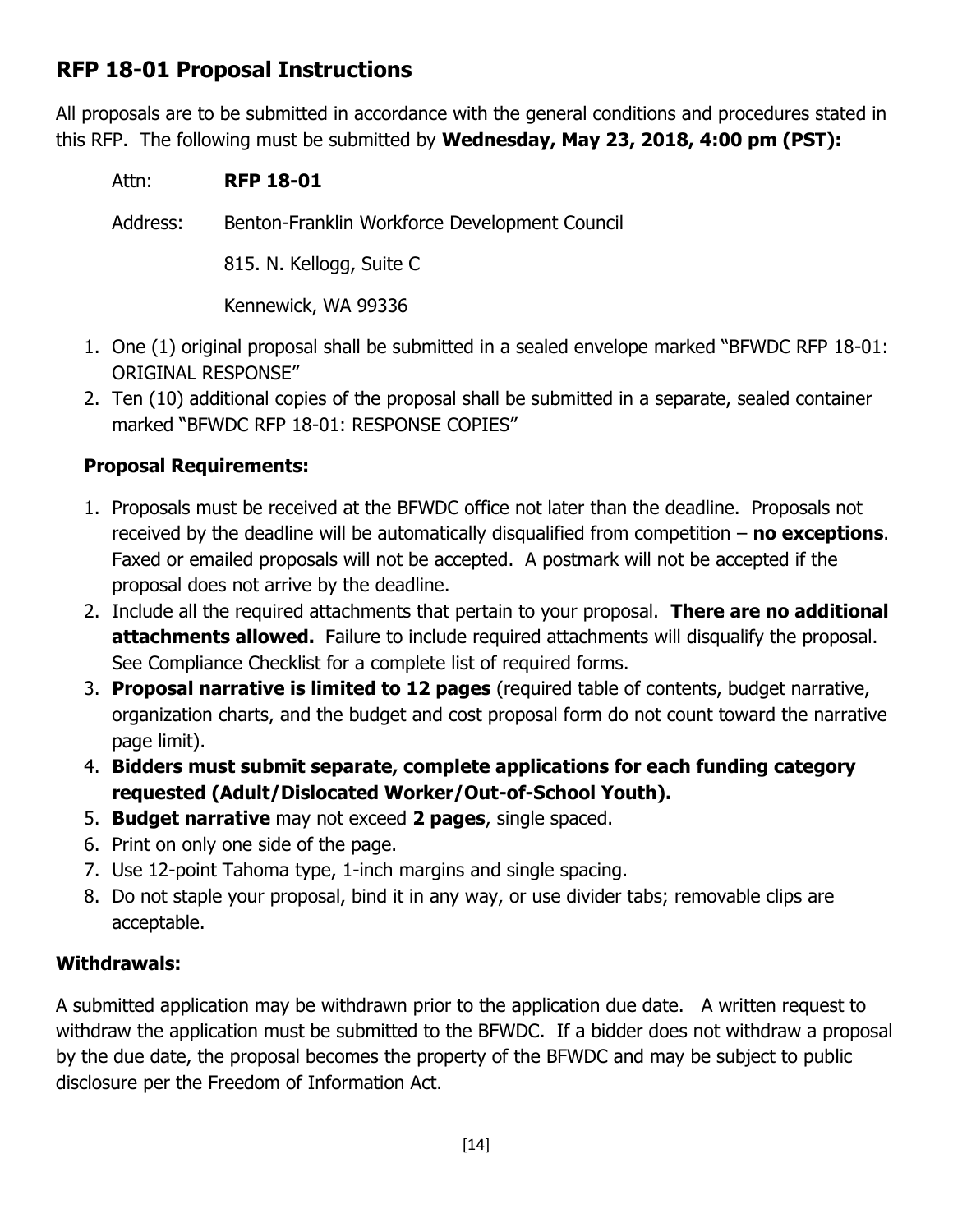## **RFP 18-01 Proposal Instructions**

All proposals are to be submitted in accordance with the general conditions and procedures stated in this RFP. The following must be submitted by **Wednesday, May 23, 2018, 4:00 pm (PST):**

Attn: **RFP 18-01**

Address: Benton-Franklin Workforce Development Council

815. N. Kellogg, Suite C

Kennewick, WA 99336

- 1. One (1) original proposal shall be submitted in a sealed envelope marked "BFWDC RFP 18-01: ORIGINAL RESPONSE"
- 2. Ten (10) additional copies of the proposal shall be submitted in a separate, sealed container marked "BFWDC RFP 18-01: RESPONSE COPIES"

### **Proposal Requirements:**

- 1. Proposals must be received at the BFWDC office not later than the deadline. Proposals not received by the deadline will be automatically disqualified from competition – **no exceptions**. Faxed or emailed proposals will not be accepted. A postmark will not be accepted if the proposal does not arrive by the deadline.
- 2. Include all the required attachments that pertain to your proposal. **There are no additional attachments allowed.** Failure to include required attachments will disqualify the proposal. See Compliance Checklist for a complete list of required forms.
- 3. **Proposal narrative is limited to 12 pages** (required table of contents, budget narrative, organization charts, and the budget and cost proposal form do not count toward the narrative page limit).
- 4. **Bidders must submit separate, complete applications for each funding category requested (Adult/Dislocated Worker/Out-of-School Youth).**
- 5. **Budget narrative** may not exceed **2 pages**, single spaced.
- 6. Print on only one side of the page.
- 7. Use 12-point Tahoma type, 1-inch margins and single spacing.
- 8. Do not staple your proposal, bind it in any way, or use divider tabs; removable clips are acceptable.

### **Withdrawals:**

A submitted application may be withdrawn prior to the application due date. A written request to withdraw the application must be submitted to the BFWDC. If a bidder does not withdraw a proposal by the due date, the proposal becomes the property of the BFWDC and may be subject to public disclosure per the Freedom of Information Act.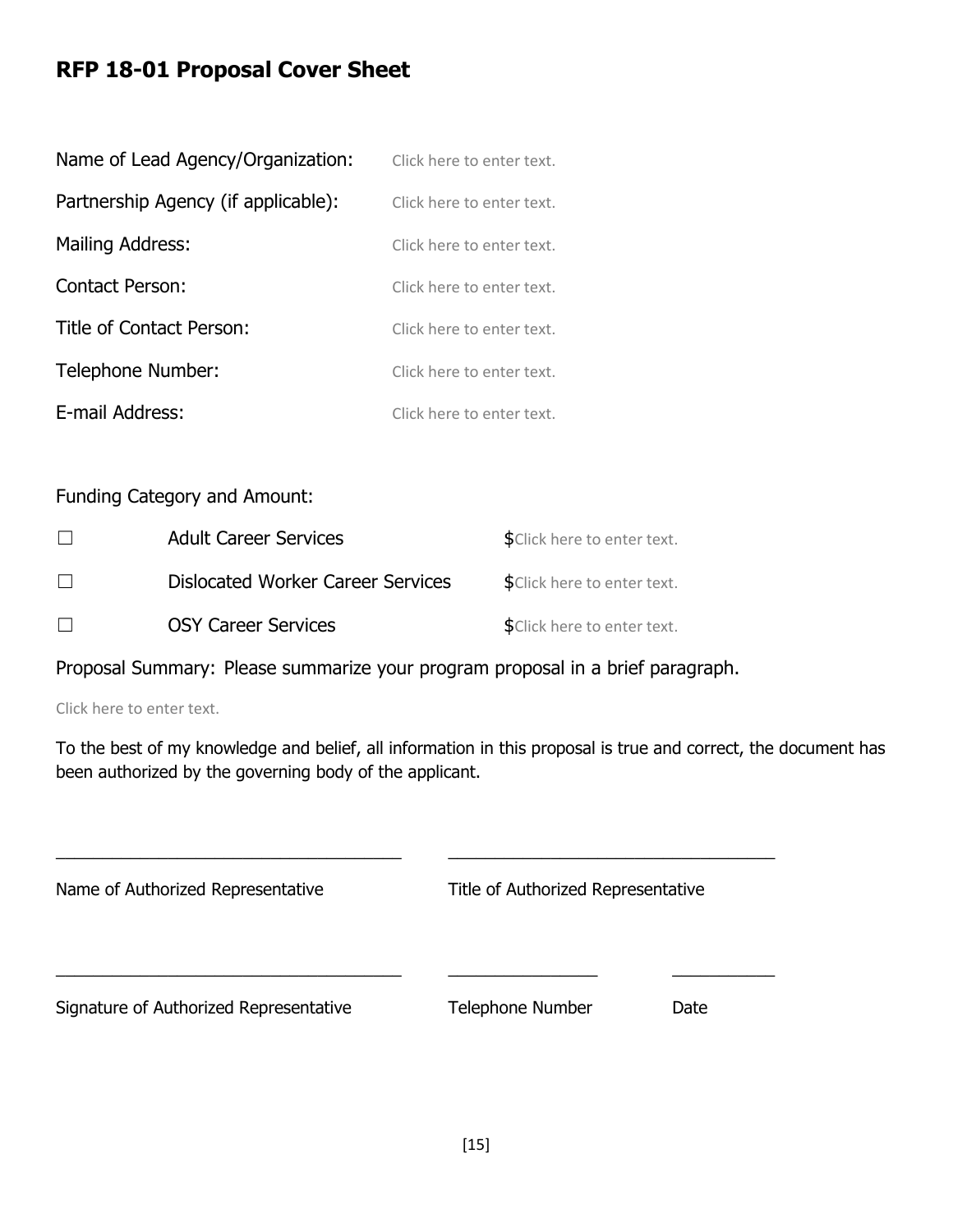### **RFP 18-01 Proposal Cover Sheet**

| Name of Lead Agency/Organization:   | Click here to enter text. |
|-------------------------------------|---------------------------|
| Partnership Agency (if applicable): | Click here to enter text. |
| Mailing Address:                    | Click here to enter text. |
| <b>Contact Person:</b>              | Click here to enter text. |
| Title of Contact Person:            | Click here to enter text. |
| Telephone Number:                   | Click here to enter text. |
| E-mail Address:                     | Click here to enter text. |

Funding Category and Amount:

|              | <b>Adult Career Services</b>             | \$Click here to enter text. |
|--------------|------------------------------------------|-----------------------------|
| $\mathbf{I}$ | <b>Dislocated Worker Career Services</b> | \$Click here to enter text. |
|              | <b>OSY Career Services</b>               | \$Click here to enter text. |

Proposal Summary: Please summarize your program proposal in a brief paragraph.

Click here to enter text.

To the best of my knowledge and belief, all information in this proposal is true and correct, the document has been authorized by the governing body of the applicant.

| Name of Authorized Representative      | Title of Authorized Representative |      |  |
|----------------------------------------|------------------------------------|------|--|
|                                        |                                    |      |  |
| Signature of Authorized Representative | <b>Telephone Number</b>            | Date |  |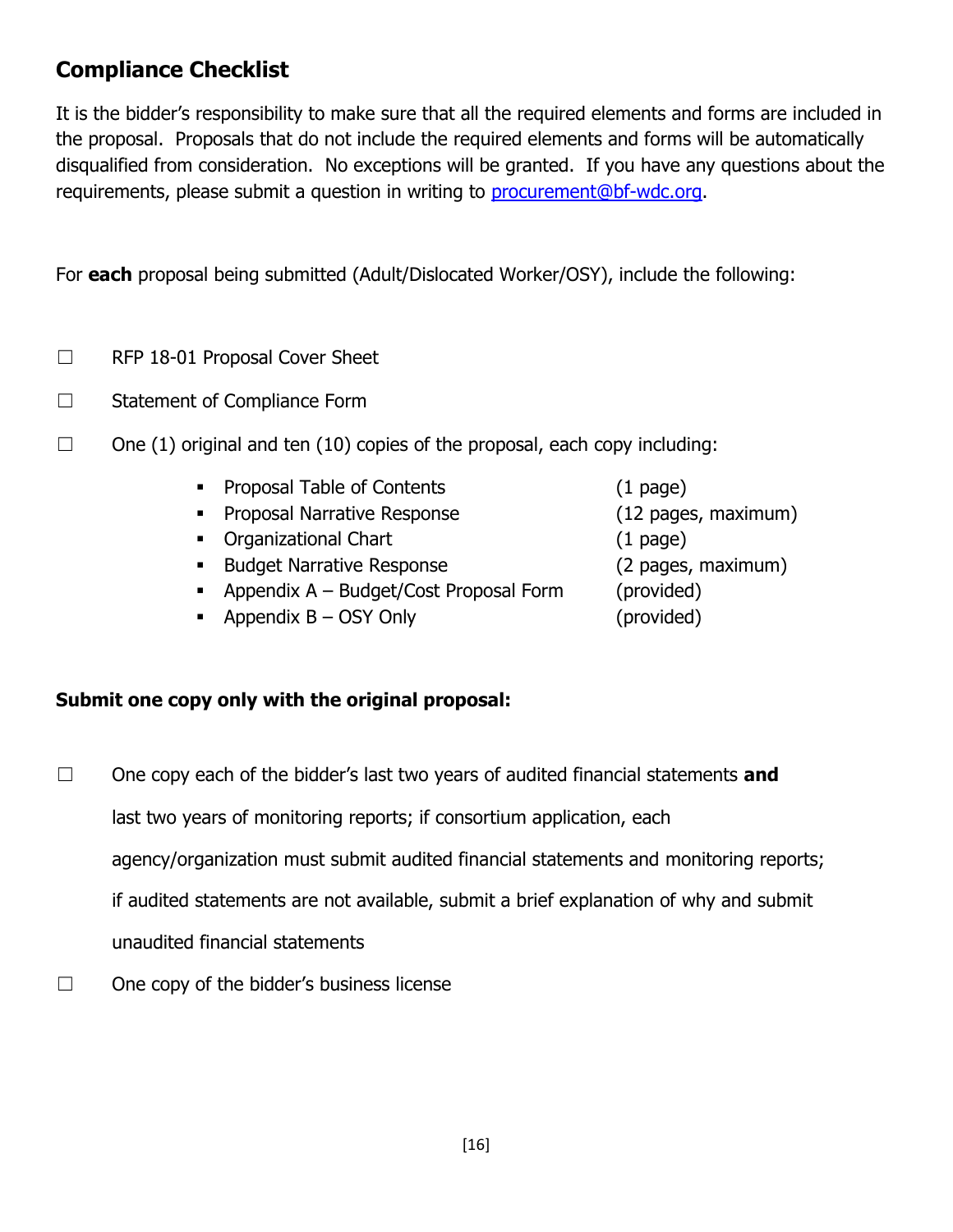### **Compliance Checklist**

It is the bidder's responsibility to make sure that all the required elements and forms are included in the proposal. Proposals that do not include the required elements and forms will be automatically disqualified from consideration. No exceptions will be granted. If you have any questions about the requirements, please submit a question in writing to [procurement@bf-wdc.org.](mailto:procurement@bf-wdc.org)

For **each** proposal being submitted (Adult/Dislocated Worker/OSY), include the following:

- ☐ RFP 18-01 Proposal Cover Sheet
- ☐ Statement of Compliance Form
- $\Box$  One (1) original and ten (10) copies of the proposal, each copy including:
	- Proposal Table of Contents (1 page)
	- Proposal Narrative Response (12 pages, maximum)
	- Organizational Chart (1 page)
	- Budget Narrative Response (2 pages, maximum)
	- Appendix A Budget/Cost Proposal Form (provided)
	- Appendix B OSY Only (provided)
- 

### **Submit one copy only with the original proposal:**

- ☐ One copy each of the bidder's last two years of audited financial statements **and** last two years of monitoring reports; if consortium application, each agency/organization must submit audited financial statements and monitoring reports; if audited statements are not available, submit a brief explanation of why and submit unaudited financial statements
- $\Box$  One copy of the bidder's business license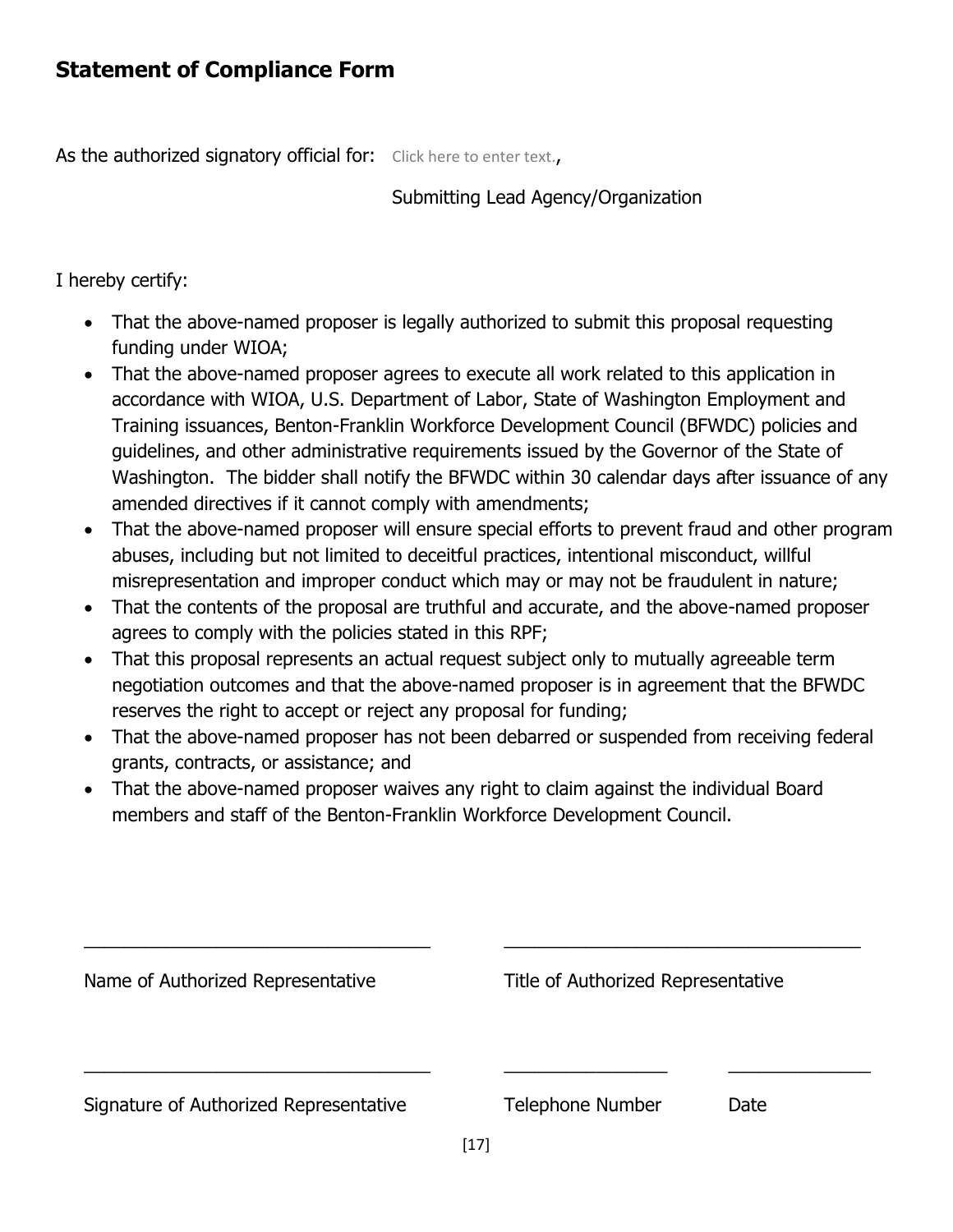As the authorized signatory official for: Click here to enter text.,

### Submitting Lead Agency/Organization

I hereby certify:

- That the above-named proposer is legally authorized to submit this proposal requesting funding under WIOA;
- That the above-named proposer agrees to execute all work related to this application in accordance with WIOA, U.S. Department of Labor, State of Washington Employment and Training issuances, Benton-Franklin Workforce Development Council (BFWDC) policies and guidelines, and other administrative requirements issued by the Governor of the State of Washington. The bidder shall notify the BFWDC within 30 calendar days after issuance of any amended directives if it cannot comply with amendments;
- That the above-named proposer will ensure special efforts to prevent fraud and other program abuses, including but not limited to deceitful practices, intentional misconduct, willful misrepresentation and improper conduct which may or may not be fraudulent in nature;
- That the contents of the proposal are truthful and accurate, and the above-named proposer agrees to comply with the policies stated in this RPF;
- That this proposal represents an actual request subject only to mutually agreeable term negotiation outcomes and that the above-named proposer is in agreement that the BFWDC reserves the right to accept or reject any proposal for funding;
- That the above-named proposer has not been debarred or suspended from receiving federal grants, contracts, or assistance; and
- That the above-named proposer waives any right to claim against the individual Board members and staff of the Benton-Franklin Workforce Development Council.

| Name of Authorized Representative      |                  | Title of Authorized Representative |  |  |
|----------------------------------------|------------------|------------------------------------|--|--|
|                                        |                  |                                    |  |  |
| Signature of Authorized Representative | Telephone Number | Date                               |  |  |
|                                        | [17]             |                                    |  |  |

 $\overline{\phantom{a}}$  , and the contribution of the contribution of the contribution of the contribution of the contribution of the contribution of the contribution of the contribution of the contribution of the contribution of the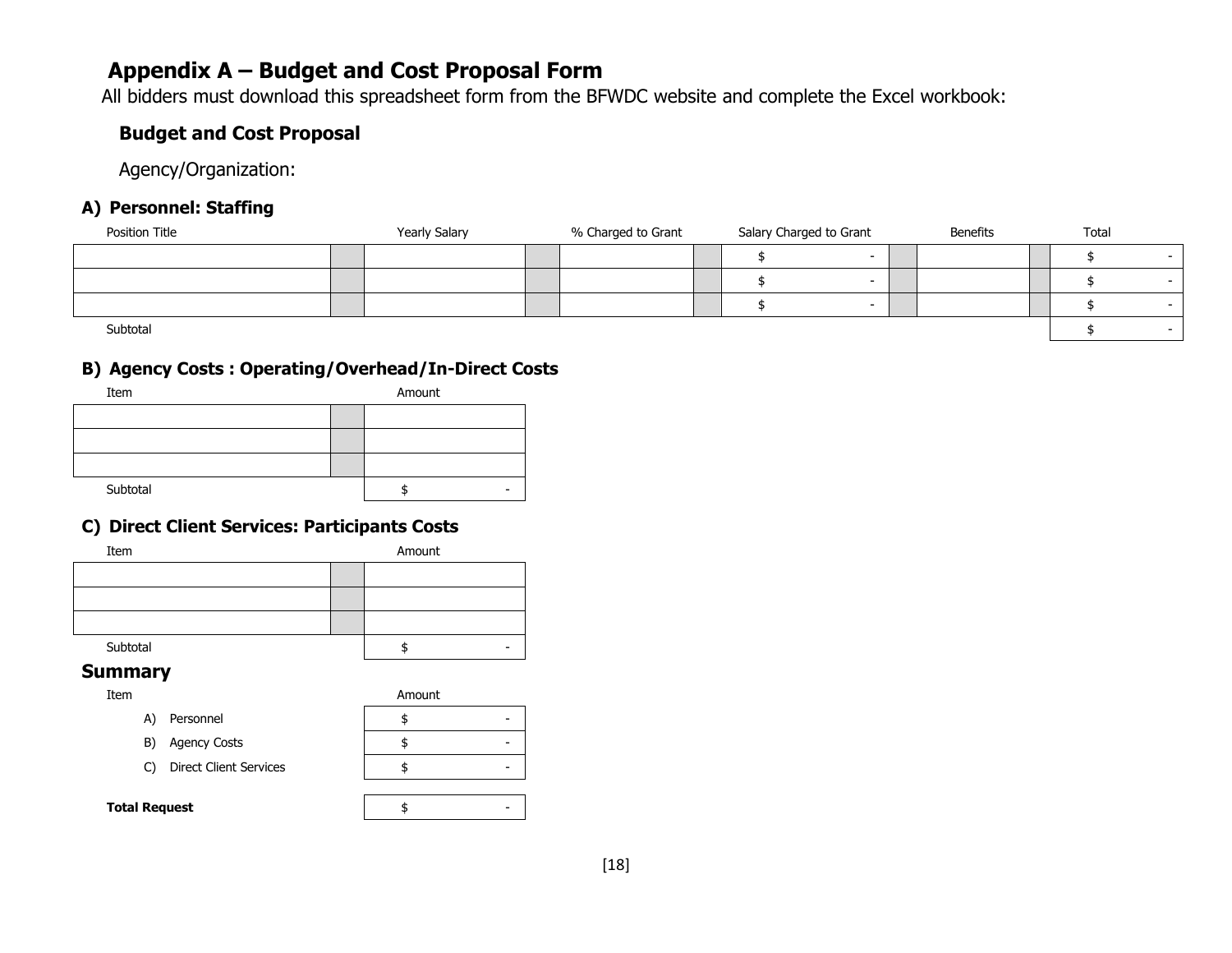### **Appendix A – Budget and Cost Proposal Form**

All bidders must download this spreadsheet form from the BFWDC website and complete the Excel workbook:

### **Budget and Cost Proposal**

Agency/Organization:

### **A) Personnel: Staffing**

| Position Title | <b>Yearly Salary</b> | % Charged to Grant | Salary Charged to Grant |        | <b>Benefits</b> | Total |  |
|----------------|----------------------|--------------------|-------------------------|--------|-----------------|-------|--|
|                |                      |                    |                         | $\sim$ |                 |       |  |
|                |                      |                    |                         | $\sim$ |                 |       |  |
|                |                      |                    |                         | $\sim$ |                 |       |  |
| Subtotal       |                      |                    |                         |        |                 |       |  |

### **B) Agency Costs : Operating/Overhead/In-Direct Costs**

| Item     | Amount |
|----------|--------|
|          |        |
|          |        |
|          |        |
| Subtotal |        |

### **C) Direct Client Services: Participants Costs**

| Item     | Amount |  |  |
|----------|--------|--|--|
|          |        |  |  |
|          |        |  |  |
|          |        |  |  |
| Subtotal |        |  |  |

#### **Summary**

| Item | Amount |
|------|--------|
|      |        |

|    |                               | . |
|----|-------------------------------|---|
| A) | Personnel                     |   |
|    | B) Agency Costs               |   |
| C) | <b>Direct Client Services</b> |   |

#### **Total Request a**  $\uparrow$  **5**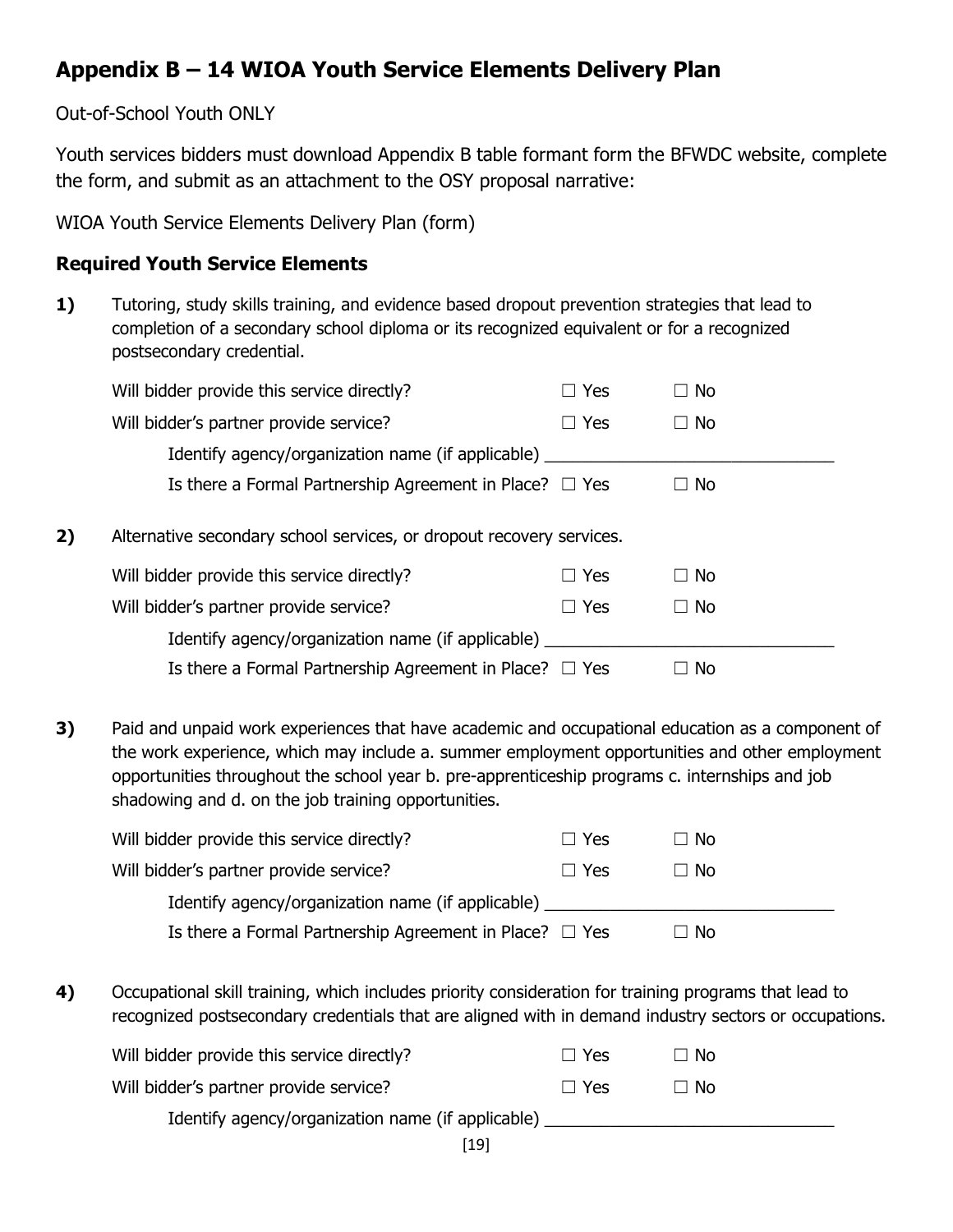## **Appendix B – 14 WIOA Youth Service Elements Delivery Plan**

### Out-of-School Youth ONLY

Youth services bidders must download Appendix B table formant form the BFWDC website, complete the form, and submit as an attachment to the OSY proposal narrative:

WIOA Youth Service Elements Delivery Plan (form)

### **Required Youth Service Elements**

**1)** Tutoring, study skills training, and evidence based dropout prevention strategies that lead to completion of a secondary school diploma or its recognized equivalent or for a recognized postsecondary credential.

|    | Will bidder provide this service directly?                           | Yes<br>$\Box$ | $\Box$ No |
|----|----------------------------------------------------------------------|---------------|-----------|
|    | Will bidder's partner provide service?                               | $\Box$ Yes    | $\Box$ No |
|    | Identify agency/organization name (if applicable)                    |               |           |
|    | Is there a Formal Partnership Agreement in Place? $\Box$ Yes         |               | $\Box$ No |
| 2) | Alternative secondary school services, or dropout recovery services. |               |           |
|    | Will bidder provide this service directly?                           | Yes<br>$\Box$ | $\Box$ No |
|    | Will bidder's partner provide service?                               | Yes<br>$\Box$ | $\Box$ No |
|    | Identify agency/organization name (if applicable)                    |               |           |
|    | Is there a Formal Partnership Agreement in Place? $\Box$ Yes         |               | No        |

**3)** Paid and unpaid work experiences that have academic and occupational education as a component of the work experience, which may include a. summer employment opportunities and other employment opportunities throughout the school year b. pre-apprenticeship programs c. internships and job shadowing and d. on the job training opportunities.

| Will bidder provide this service directly?                   | ⊟ Yes      | $\Box$ No |
|--------------------------------------------------------------|------------|-----------|
| Will bidder's partner provide service?                       | $\Box$ Yes | $\Box$ No |
| Identify agency/organization name (if applicable)            |            |           |
| Is there a Formal Partnership Agreement in Place? $\Box$ Yes |            | $\Box$ No |

**4)** Occupational skill training, which includes priority consideration for training programs that lead to recognized postsecondary credentials that are aligned with in demand industry sectors or occupations.

| Will bidder provide this service directly?        | $\Box$ Yes | ⊟ No |
|---------------------------------------------------|------------|------|
| Will bidder's partner provide service?            | $\Box$ Yes | ⊟ No |
| Identify agency/organization name (if applicable) |            |      |
|                                                   |            |      |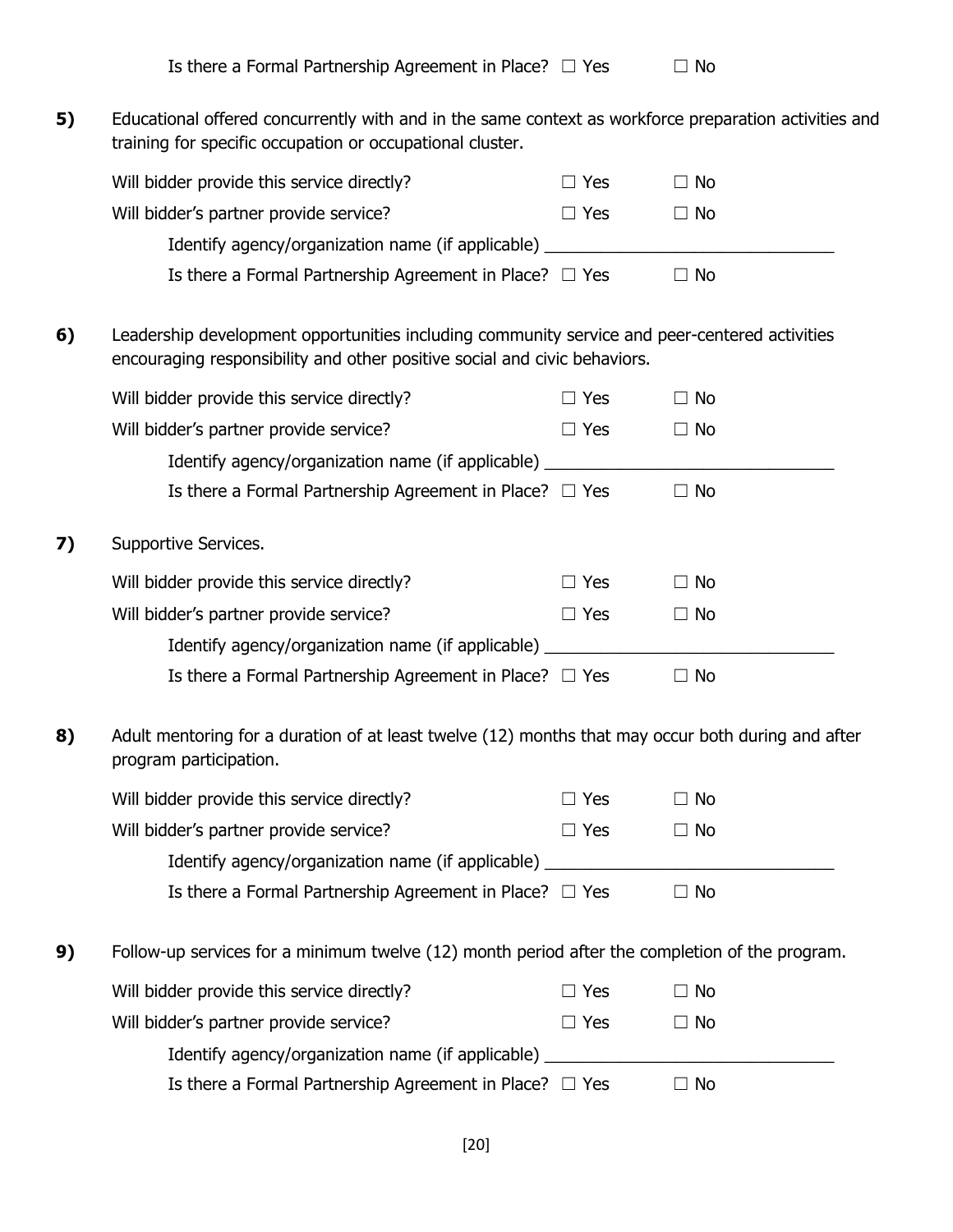| Is there a Formal Partnership Agreement in Place? $\Box$ Yes |  | $\Box$ No |
|--------------------------------------------------------------|--|-----------|
|--------------------------------------------------------------|--|-----------|

**5)** Educational offered concurrently with and in the same context as workforce preparation activities and training for specific occupation or occupational cluster.

|    | Will bidder provide this service directly?                                                                                                                                 | $\Box$ Yes | $\Box$ No |
|----|----------------------------------------------------------------------------------------------------------------------------------------------------------------------------|------------|-----------|
|    |                                                                                                                                                                            |            |           |
|    | Will bidder's partner provide service?                                                                                                                                     | $\Box$ Yes | $\Box$ No |
|    | Identify agency/organization name (if applicable) ______________________________                                                                                           |            |           |
|    | Is there a Formal Partnership Agreement in Place? $\Box$ Yes                                                                                                               |            | $\Box$ No |
| 6) | Leadership development opportunities including community service and peer-centered activities<br>encouraging responsibility and other positive social and civic behaviors. |            |           |
|    | Will bidder provide this service directly?                                                                                                                                 | $\Box$ Yes | $\Box$ No |
|    | Will bidder's partner provide service?                                                                                                                                     | $\Box$ Yes | $\Box$ No |
|    | Identify agency/organization name (if applicable) ______________________________                                                                                           |            |           |
|    | Is there a Formal Partnership Agreement in Place? $\Box$ Yes                                                                                                               |            | $\Box$ No |
| 7) | Supportive Services.                                                                                                                                                       |            |           |
|    | Will bidder provide this service directly?                                                                                                                                 | $\Box$ Yes | $\Box$ No |
|    | Will bidder's partner provide service?                                                                                                                                     | $\Box$ Yes | $\Box$ No |
|    | Identify agency/organization name (if applicable) ______________________________                                                                                           |            |           |
|    | Is there a Formal Partnership Agreement in Place? $\Box$ Yes                                                                                                               |            | $\Box$ No |
| 8) | Adult mentoring for a duration of at least twelve (12) months that may occur both during and after<br>program participation.                                               |            |           |
|    | Will bidder provide this service directly?                                                                                                                                 | $\Box$ Yes | $\Box$ No |
|    | Will bidder's partner provide service?                                                                                                                                     | $\Box$ Yes | $\Box$ No |
|    | Identify agency/organization name (if applicable) _________                                                                                                                |            |           |
|    | Is there a Formal Partnership Agreement in Place? $\Box$ Yes                                                                                                               |            | $\Box$ No |
| 9) | Follow-up services for a minimum twelve (12) month period after the completion of the program.                                                                             |            |           |
|    | Will bidder provide this service directly?                                                                                                                                 | $\Box$ Yes | $\Box$ No |
|    | Will bidder's partner provide service?                                                                                                                                     | $\Box$ Yes | $\Box$ No |
|    | Identify agency/organization name (if applicable) _______                                                                                                                  |            |           |
|    | Is there a Formal Partnership Agreement in Place? $\Box$ Yes                                                                                                               |            | $\Box$ No |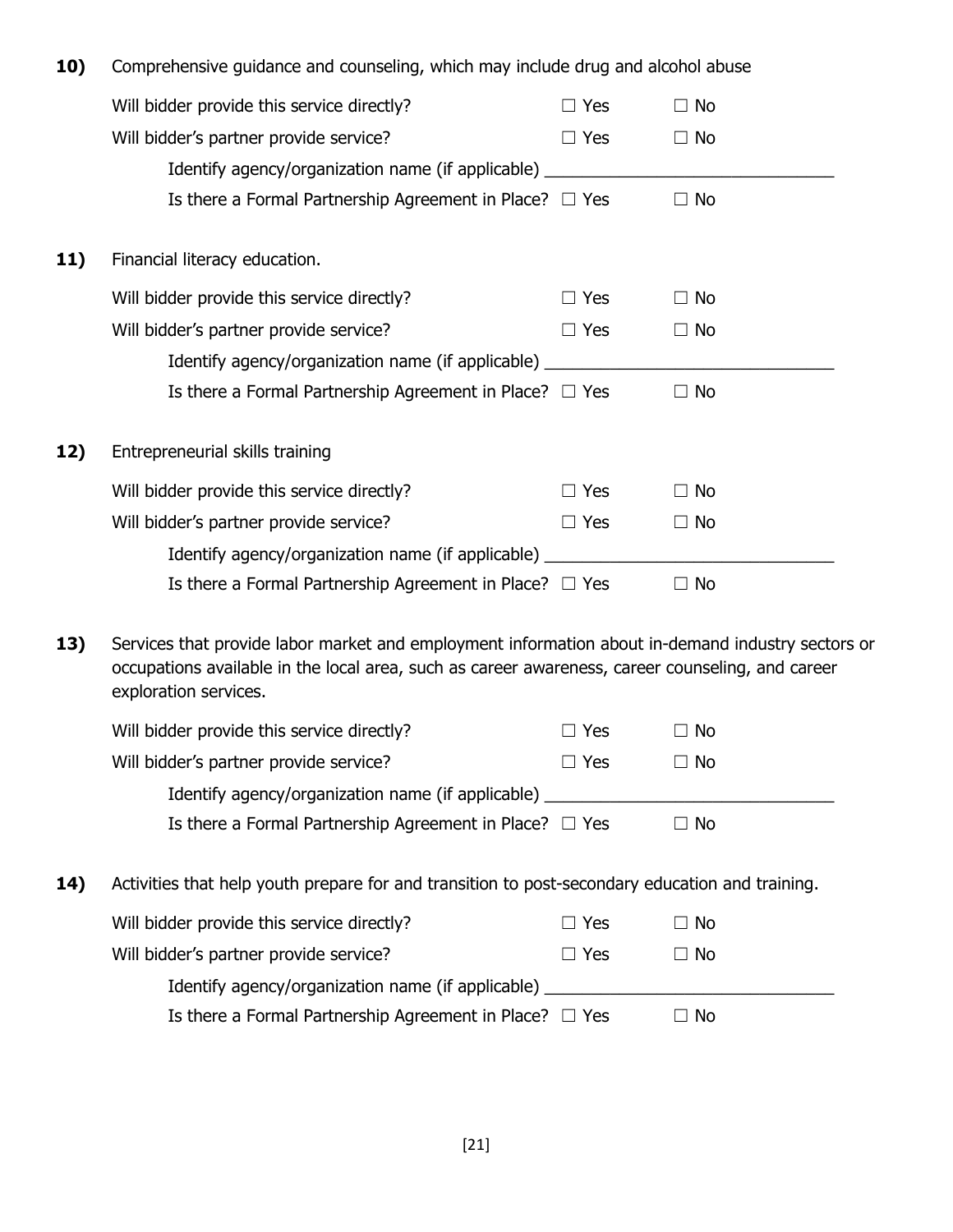| 10) | Comprehensive guidance and counseling, which may include drug and alcohol abuse                                                                                                                                                |            |           |  |
|-----|--------------------------------------------------------------------------------------------------------------------------------------------------------------------------------------------------------------------------------|------------|-----------|--|
|     | Will bidder provide this service directly?                                                                                                                                                                                     | $\Box$ Yes | $\Box$ No |  |
|     | Will bidder's partner provide service?                                                                                                                                                                                         | $\Box$ Yes | $\Box$ No |  |
|     | Identify agency/organization name (if applicable) _________                                                                                                                                                                    |            |           |  |
|     | Is there a Formal Partnership Agreement in Place? $\Box$ Yes                                                                                                                                                                   |            | $\Box$ No |  |
| 11) | Financial literacy education.                                                                                                                                                                                                  |            |           |  |
|     | Will bidder provide this service directly?                                                                                                                                                                                     | $\Box$ Yes | $\Box$ No |  |
|     | Will bidder's partner provide service?                                                                                                                                                                                         | $\Box$ Yes | $\Box$ No |  |
|     | Identify agency/organization name (if applicable) _________                                                                                                                                                                    |            |           |  |
|     | Is there a Formal Partnership Agreement in Place? $\Box$ Yes                                                                                                                                                                   |            | $\Box$ No |  |
| 12) | Entrepreneurial skills training                                                                                                                                                                                                |            |           |  |
|     | Will bidder provide this service directly?                                                                                                                                                                                     | $\Box$ Yes | $\Box$ No |  |
|     | Will bidder's partner provide service?                                                                                                                                                                                         | $\Box$ Yes | $\Box$ No |  |
|     | Identify agency/organization name (if applicable) _________                                                                                                                                                                    |            |           |  |
|     | Is there a Formal Partnership Agreement in Place? $\Box$ Yes                                                                                                                                                                   |            | $\Box$ No |  |
| 13) | Services that provide labor market and employment information about in-demand industry sectors or<br>occupations available in the local area, such as career awareness, career counseling, and career<br>exploration services. |            |           |  |
|     | Will bidder provide this service directly?                                                                                                                                                                                     | $\Box$ Yes | $\Box$ No |  |
|     | Will bidder's partner provide service?                                                                                                                                                                                         | $\Box$ Yes | $\Box$ No |  |
|     | Identify agency/organization name (if applicable)                                                                                                                                                                              |            |           |  |
|     | Is there a Formal Partnership Agreement in Place? $\Box$ Yes                                                                                                                                                                   |            | $\Box$ No |  |
| 14) | Activities that help youth prepare for and transition to post-secondary education and training.                                                                                                                                |            |           |  |
|     | Will bidder provide this service directly?                                                                                                                                                                                     | $\Box$ Yes | $\Box$ No |  |
|     | Will bidder's partner provide service?                                                                                                                                                                                         | $\Box$ Yes | $\Box$ No |  |
|     | Identify agency/organization name (if applicable) _________                                                                                                                                                                    |            |           |  |
|     | Is there a Formal Partnership Agreement in Place? $\Box$ Yes                                                                                                                                                                   |            | $\Box$ No |  |
|     |                                                                                                                                                                                                                                |            |           |  |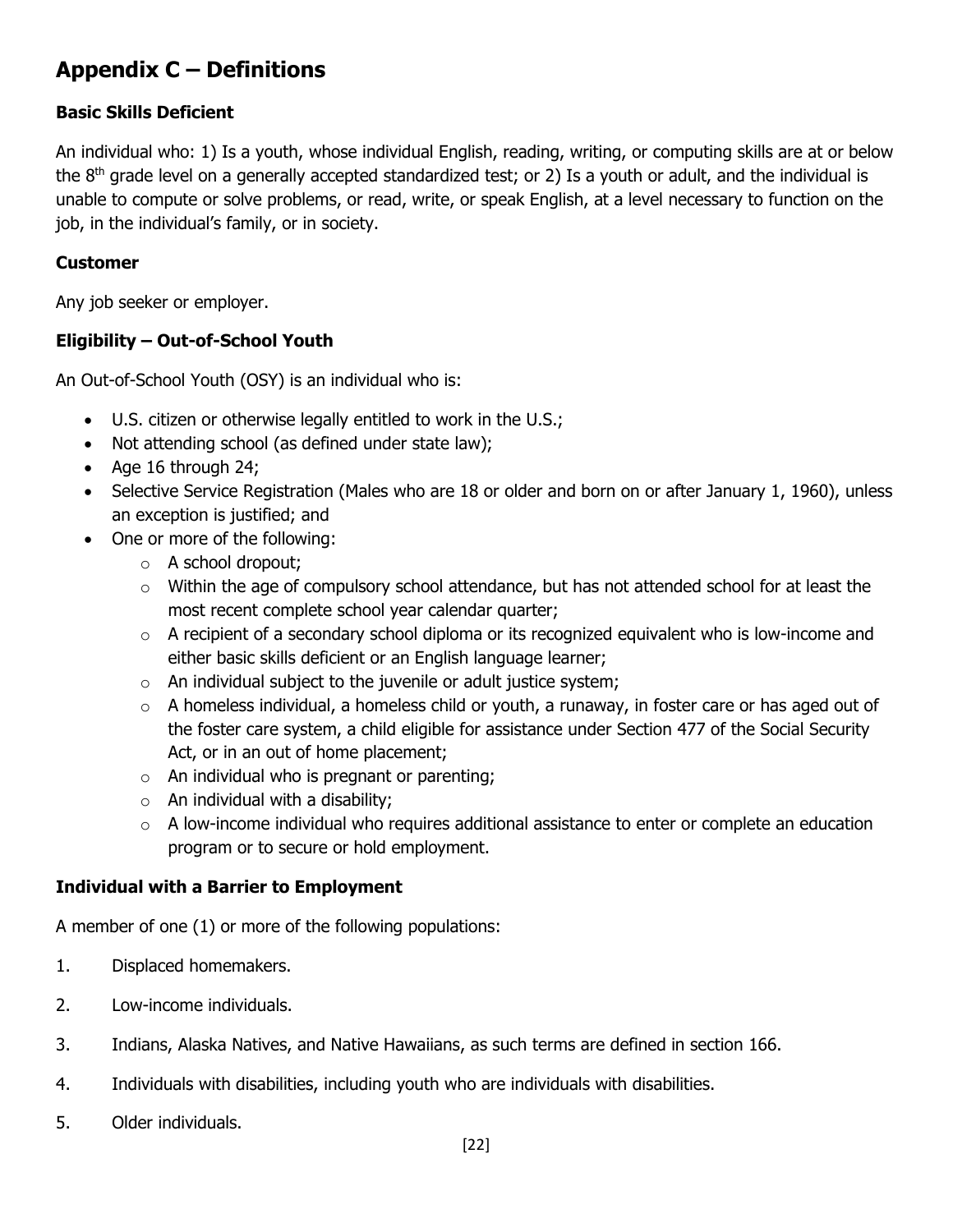## **Appendix C – Definitions**

### **Basic Skills Deficient**

An individual who: 1) Is a youth, whose individual English, reading, writing, or computing skills are at or below the  $8<sup>th</sup>$  grade level on a generally accepted standardized test; or 2) Is a youth or adult, and the individual is unable to compute or solve problems, or read, write, or speak English, at a level necessary to function on the job, in the individual's family, or in society.

#### **Customer**

Any job seeker or employer.

### **Eligibility – Out-of-School Youth**

An Out-of-School Youth (OSY) is an individual who is:

- U.S. citizen or otherwise legally entitled to work in the U.S.;
- Not attending school (as defined under state law);
- Age 16 through 24;
- Selective Service Registration (Males who are 18 or older and born on or after January 1, 1960), unless an exception is justified; and
- One or more of the following:
	- o A school dropout;
	- $\circ$  Within the age of compulsory school attendance, but has not attended school for at least the most recent complete school year calendar quarter;
	- o A recipient of a secondary school diploma or its recognized equivalent who is low-income and either basic skills deficient or an English language learner;
	- $\circ$  An individual subject to the juvenile or adult justice system;
	- $\circ$  A homeless individual, a homeless child or youth, a runaway, in foster care or has aged out of the foster care system, a child eligible for assistance under Section 477 of the Social Security Act, or in an out of home placement;
	- $\circ$  An individual who is pregnant or parenting;
	- $\circ$  An individual with a disability;
	- $\circ$  A low-income individual who requires additional assistance to enter or complete an education program or to secure or hold employment.

### **Individual with a Barrier to Employment**

A member of one (1) or more of the following populations:

- 1. Displaced homemakers.
- 2. Low-income individuals.
- 3. Indians, Alaska Natives, and Native Hawaiians, as such terms are defined in section 166.
- 4. Individuals with disabilities, including youth who are individuals with disabilities.
- 5. Older individuals.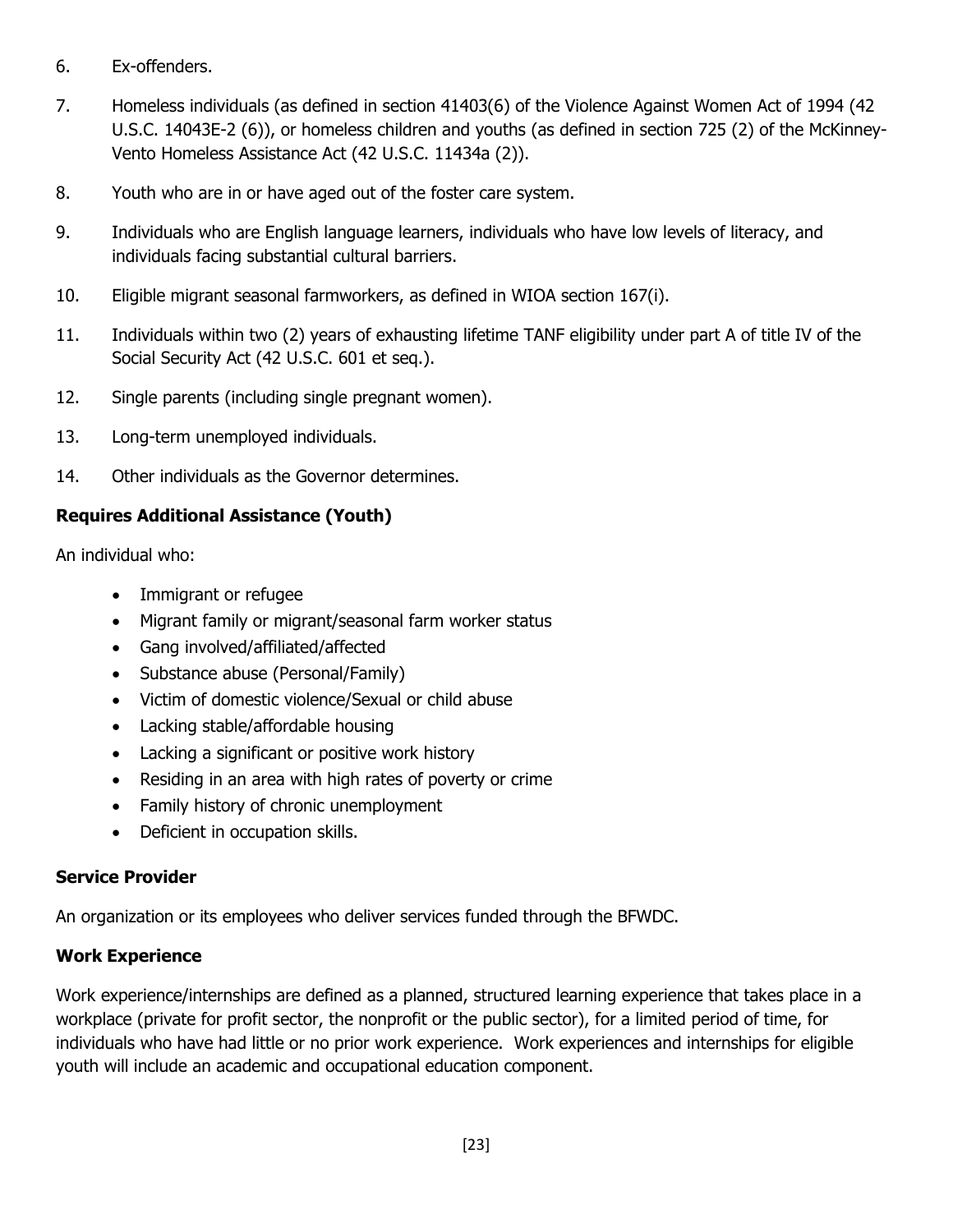- 6. Ex-offenders.
- 7. Homeless individuals (as defined in section 41403(6) of the Violence Against Women Act of 1994 (42 U.S.C. 14043E-2 (6)), or homeless children and youths (as defined in section 725 (2) of the McKinney-Vento Homeless Assistance Act (42 U.S.C. 11434a (2)).
- 8. Youth who are in or have aged out of the foster care system.
- 9. Individuals who are English language learners, individuals who have low levels of literacy, and individuals facing substantial cultural barriers.
- 10. Eligible migrant seasonal farmworkers, as defined in WIOA section 167(i).
- 11. Individuals within two (2) years of exhausting lifetime TANF eligibility under part A of title IV of the Social Security Act (42 U.S.C. 601 et seq.).
- 12. Single parents (including single pregnant women).
- 13. Long-term unemployed individuals.
- 14. Other individuals as the Governor determines.

### **Requires Additional Assistance (Youth)**

An individual who:

- Immigrant or refugee
- Migrant family or migrant/seasonal farm worker status
- Gang involved/affiliated/affected
- Substance abuse (Personal/Family)
- Victim of domestic violence/Sexual or child abuse
- Lacking stable/affordable housing
- Lacking a significant or positive work history
- Residing in an area with high rates of poverty or crime
- Family history of chronic unemployment
- Deficient in occupation skills.

### **Service Provider**

An organization or its employees who deliver services funded through the BFWDC.

### **Work Experience**

Work experience/internships are defined as a planned, structured learning experience that takes place in a workplace (private for profit sector, the nonprofit or the public sector), for a limited period of time, for individuals who have had little or no prior work experience. Work experiences and internships for eligible youth will include an academic and occupational education component.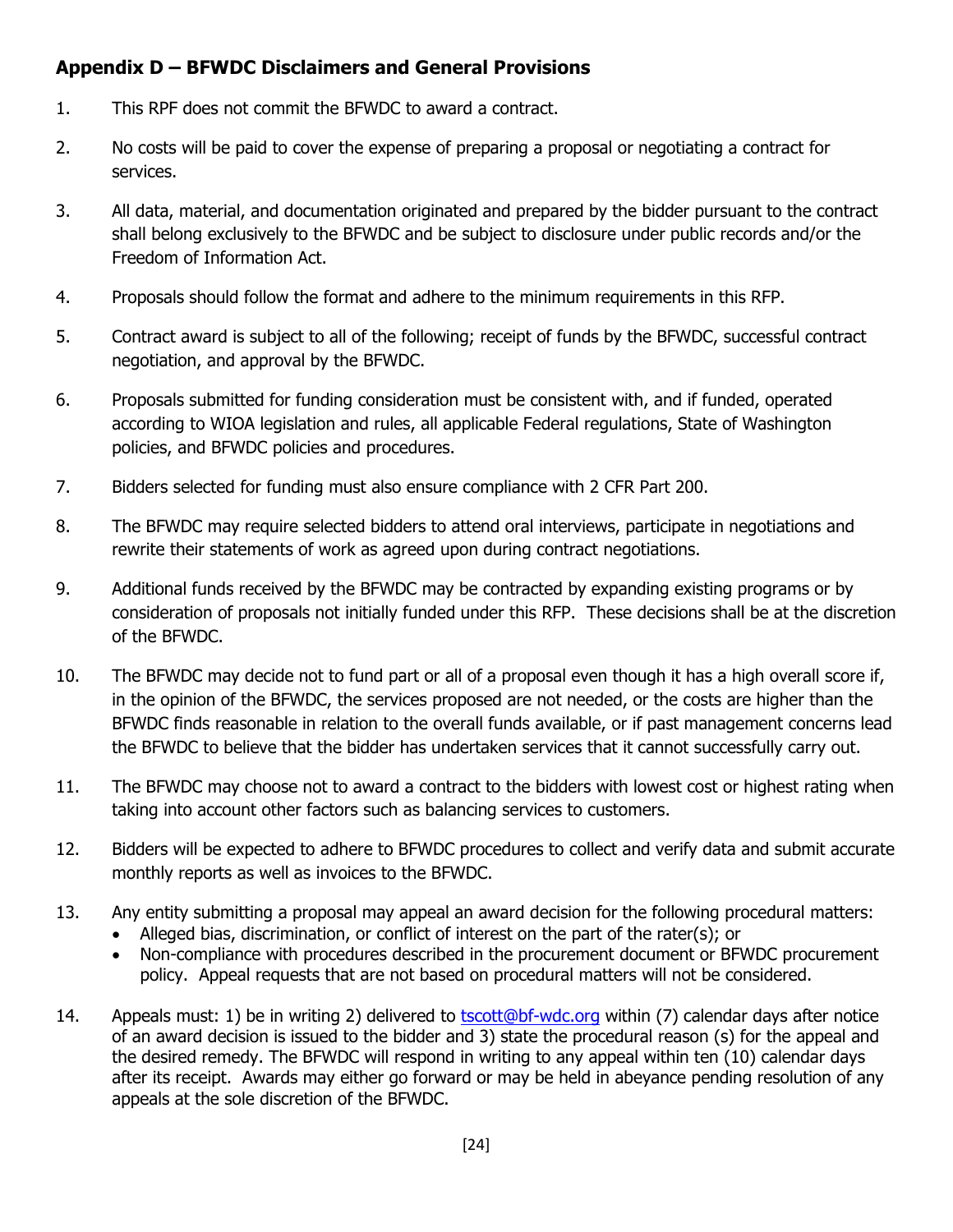### **Appendix D – BFWDC Disclaimers and General Provisions**

- 1. This RPF does not commit the BFWDC to award a contract.
- 2. No costs will be paid to cover the expense of preparing a proposal or negotiating a contract for services.
- 3. All data, material, and documentation originated and prepared by the bidder pursuant to the contract shall belong exclusively to the BFWDC and be subject to disclosure under public records and/or the Freedom of Information Act.
- 4. Proposals should follow the format and adhere to the minimum requirements in this RFP.
- 5. Contract award is subject to all of the following; receipt of funds by the BFWDC, successful contract negotiation, and approval by the BFWDC.
- 6. Proposals submitted for funding consideration must be consistent with, and if funded, operated according to WIOA legislation and rules, all applicable Federal regulations, State of Washington policies, and BFWDC policies and procedures.
- 7. Bidders selected for funding must also ensure compliance with 2 CFR Part 200.
- 8. The BFWDC may require selected bidders to attend oral interviews, participate in negotiations and rewrite their statements of work as agreed upon during contract negotiations.
- 9. Additional funds received by the BFWDC may be contracted by expanding existing programs or by consideration of proposals not initially funded under this RFP. These decisions shall be at the discretion of the BFWDC.
- 10. The BFWDC may decide not to fund part or all of a proposal even though it has a high overall score if, in the opinion of the BFWDC, the services proposed are not needed, or the costs are higher than the BFWDC finds reasonable in relation to the overall funds available, or if past management concerns lead the BFWDC to believe that the bidder has undertaken services that it cannot successfully carry out.
- 11. The BFWDC may choose not to award a contract to the bidders with lowest cost or highest rating when taking into account other factors such as balancing services to customers.
- 12. Bidders will be expected to adhere to BFWDC procedures to collect and verify data and submit accurate monthly reports as well as invoices to the BFWDC.
- 13. Any entity submitting a proposal may appeal an award decision for the following procedural matters:
	- Alleged bias, discrimination, or conflict of interest on the part of the rater(s); or
	- Non-compliance with procedures described in the procurement document or BFWDC procurement policy. Appeal requests that are not based on procedural matters will not be considered.
- 14. Appeals must: 1) be in writing 2) delivered to [tscott@bf-wdc.org](mailto:tscott@bf-wdc.org) within (7) calendar days after notice of an award decision is issued to the bidder and 3) state the procedural reason (s) for the appeal and the desired remedy. The BFWDC will respond in writing to any appeal within ten (10) calendar days after its receipt. Awards may either go forward or may be held in abeyance pending resolution of any appeals at the sole discretion of the BFWDC.